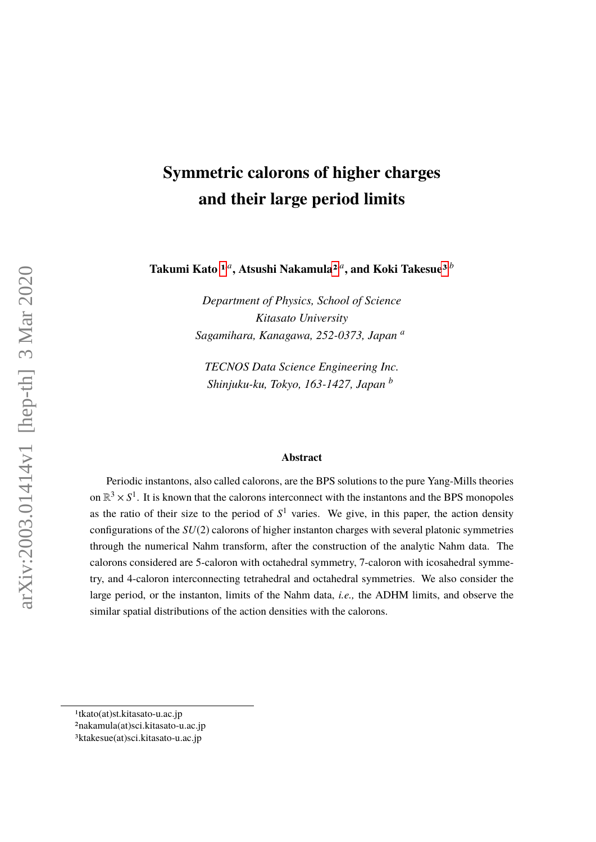# **Symmetric calorons of higher charges and their large period limits**

Takumi Kato <sup>[1](#page-0-0),a</sup>, Atsushi Nakamula<sup>[2](#page-0-1),a</sup>, and Koki Takesue<sup>[3](#page-0-2),b</sup>

*Department of Physics, School of Science Kitasato University Sagamihara, Kanagawa, 252-0373, Japan <sup>a</sup>*

*TECNOS Data Science Engineering Inc. Shinjuku-ku, Tokyo, 163-1427, Japan <sup>b</sup>*

#### **Abstract**

Periodic instantons, also called calorons, are the BPS solutions to the pure Yang-Mills theories on  $\mathbb{R}^3 \times S^1$ . It is known that the calorons interconnect with the instantons and the BPS monopoles as the ratio of their size to the period of  $S<sup>1</sup>$  varies. We give, in this paper, the action density configurations of the *SU*(2) calorons of higher instanton charges with several platonic symmetries through the numerical Nahm transform, after the construction of the analytic Nahm data. The calorons considered are 5-caloron with octahedral symmetry, 7-caloron with icosahedral symmetry, and 4-caloron interconnecting tetrahedral and octahedral symmetries. We also consider the large period, or the instanton, limits of the Nahm data, *i.e.,* the ADHM limits, and observe the similar spatial distributions of the action densities with the calorons.

<span id="page-0-0"></span><sup>1</sup>tkato(at)st.kitasato-u.ac.jp

<span id="page-0-1"></span><sup>2</sup>nakamula(at)sci.kitasato-u.ac.jp

<span id="page-0-2"></span><sup>3</sup>ktakesue(at)sci.kitasato-u.ac.jp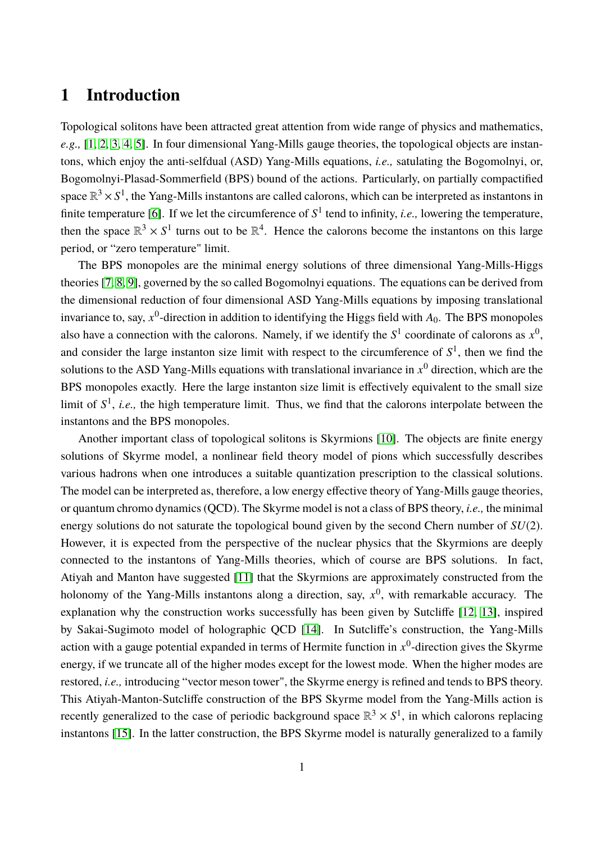## **1 Introduction**

Topological solitons have been attracted great attention from wide range of physics and mathematics, *e.g.,* [\[1,](#page-32-0) [2,](#page-32-1) [3,](#page-32-2) [4,](#page-32-3) [5\]](#page-32-4). In four dimensional Yang-Mills gauge theories, the topological objects are instantons, which enjoy the anti-selfdual (ASD) Yang-Mills equations, *i.e.,* satulating the Bogomolnyi, or, Bogomolnyi-Plasad-Sommerfield (BPS) bound of the actions. Particularly, on partially compactified space  $\mathbb{R}^3 \times S^1$ , the Yang-Mills instantons are called calorons, which can be interpreted as instantons in finite temperature [\[6\]](#page-32-5). If we let the circumference of  $S^1$  tend to infinity, *i.e.*, lowering the temperature, then the space  $\mathbb{R}^3 \times S^1$  turns out to be  $\mathbb{R}^4$ . Hence the calorons become the instantons on this large period, or "zero temperature" limit.

The BPS monopoles are the minimal energy solutions of three dimensional Yang-Mills-Higgs theories [\[7,](#page-32-6) [8,](#page-32-7) [9\]](#page-32-8), governed by the so called Bogomolnyi equations. The equations can be derived from the dimensional reduction of four dimensional ASD Yang-Mills equations by imposing translational invariance to, say,  $x^0$ -direction in addition to identifying the Higgs field with  $A_0$ . The BPS monopoles also have a connection with the calorons. Namely, if we identify the  $S^1$  coordinate of calorons as  $x^0$ , and consider the large instanton size limit with respect to the circumference of  $S<sup>1</sup>$ , then we find the solutions to the ASD Yang-Mills equations with translational invariance in  $x^0$  direction, which are the BPS monopoles exactly. Here the large instanton size limit is effectively equivalent to the small size limit of  $S^1$ , *i.e.*, the high temperature limit. Thus, we find that the calorons interpolate between the instantons and the BPS monopoles.

Another important class of topological solitons is Skyrmions [\[10\]](#page-32-9). The objects are finite energy solutions of Skyrme model, a nonlinear field theory model of pions which successfully describes various hadrons when one introduces a suitable quantization prescription to the classical solutions. The model can be interpreted as, therefore, a low energy effective theory of Yang-Mills gauge theories, or quantum chromo dynamics (QCD). The Skyrme model is not a class of BPS theory, *i.e.,* the minimal energy solutions do not saturate the topological bound given by the second Chern number of *SU*(2). However, it is expected from the perspective of the nuclear physics that the Skyrmions are deeply connected to the instantons of Yang-Mills theories, which of course are BPS solutions. In fact, Atiyah and Manton have suggested [\[11\]](#page-32-10) that the Skyrmions are approximately constructed from the holonomy of the Yang-Mills instantons along a direction, say,  $x^0$ , with remarkable accuracy. The explanation why the construction works successfully has been given by Sutcliffe [\[12,](#page-32-11) [13\]](#page-32-12), inspired by Sakai-Sugimoto model of holographic QCD [\[14\]](#page-32-13). In Sutcliffe's construction, the Yang-Mills action with a gauge potential expanded in terms of Hermite function in  $x^0$ -direction gives the Skyrme energy, if we truncate all of the higher modes except for the lowest mode. When the higher modes are restored, *i.e.,* introducing "vector meson tower", the Skyrme energy is refined and tends to BPS theory. This Atiyah-Manton-Sutcliffe construction of the BPS Skyrme model from the Yang-Mills action is recently generalized to the case of periodic background space  $\mathbb{R}^3 \times S^1$ , in which calorons replacing instantons [\[15\]](#page-32-14). In the latter construction, the BPS Skyrme model is naturally generalized to a family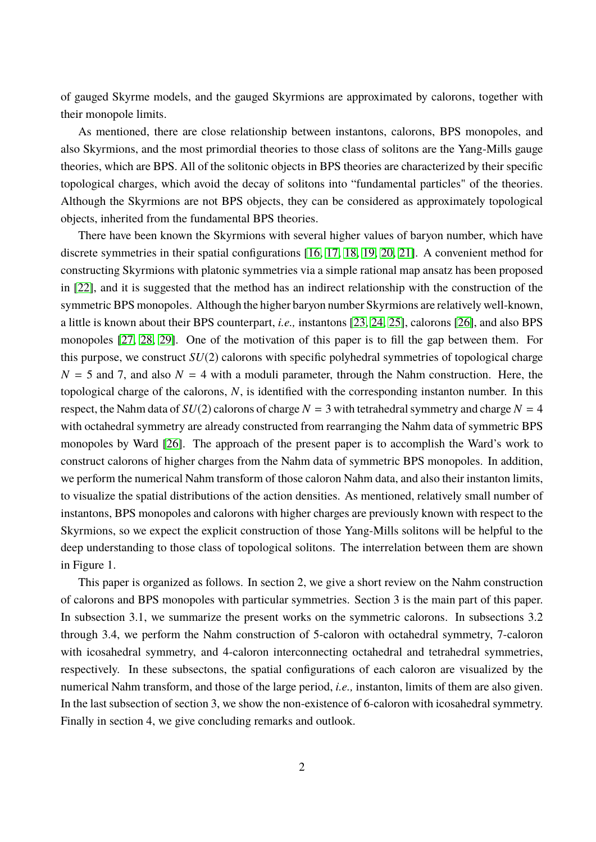of gauged Skyrme models, and the gauged Skyrmions are approximated by calorons, together with their monopole limits.

As mentioned, there are close relationship between instantons, calorons, BPS monopoles, and also Skyrmions, and the most primordial theories to those class of solitons are the Yang-Mills gauge theories, which are BPS. All of the solitonic objects in BPS theories are characterized by their specific topological charges, which avoid the decay of solitons into "fundamental particles" of the theories. Although the Skyrmions are not BPS objects, they can be considered as approximately topological objects, inherited from the fundamental BPS theories.

There have been known the Skyrmions with several higher values of baryon number, which have discrete symmetries in their spatial configurations [\[16,](#page-32-15) [17,](#page-32-16) [18,](#page-32-17) [19,](#page-32-18) [20,](#page-32-19) [21\]](#page-32-20). A convenient method for constructing Skyrmions with platonic symmetries via a simple rational map ansatz has been proposed in [\[22\]](#page-33-0), and it is suggested that the method has an indirect relationship with the construction of the symmetric BPS monopoles. Although the higher baryon number Skyrmions are relatively well-known, a little is known about their BPS counterpart, *i.e.,* instantons [\[23,](#page-33-1) [24,](#page-33-2) [25\]](#page-33-3), calorons [\[26\]](#page-33-4), and also BPS monopoles [\[27,](#page-33-5) [28,](#page-33-6) [29\]](#page-33-7). One of the motivation of this paper is to fill the gap between them. For this purpose, we construct *SU*(2) calorons with specific polyhedral symmetries of topological charge  $N = 5$  and 7, and also  $N = 4$  with a moduli parameter, through the Nahm construction. Here, the topological charge of the calorons, *N*, is identified with the corresponding instanton number. In this respect, the Nahm data of  $SU(2)$  calorons of charge  $N = 3$  with tetrahedral symmetry and charge  $N = 4$ with octahedral symmetry are already constructed from rearranging the Nahm data of symmetric BPS monopoles by Ward [\[26\]](#page-33-4). The approach of the present paper is to accomplish the Ward's work to construct calorons of higher charges from the Nahm data of symmetric BPS monopoles. In addition, we perform the numerical Nahm transform of those caloron Nahm data, and also their instanton limits, to visualize the spatial distributions of the action densities. As mentioned, relatively small number of instantons, BPS monopoles and calorons with higher charges are previously known with respect to the Skyrmions, so we expect the explicit construction of those Yang-Mills solitons will be helpful to the deep understanding to those class of topological solitons. The interrelation between them are shown in Figure 1.

This paper is organized as follows. In section 2, we give a short review on the Nahm construction of calorons and BPS monopoles with particular symmetries. Section 3 is the main part of this paper. In subsection 3.1, we summarize the present works on the symmetric calorons. In subsections 3.2 through 3.4, we perform the Nahm construction of 5-caloron with octahedral symmetry, 7-caloron with icosahedral symmetry, and 4-caloron interconnecting octahedral and tetrahedral symmetries, respectively. In these subsectons, the spatial configurations of each caloron are visualized by the numerical Nahm transform, and those of the large period, *i.e.,* instanton, limits of them are also given. In the last subsection of section 3, we show the non-existence of 6-caloron with icosahedral symmetry. Finally in section 4, we give concluding remarks and outlook.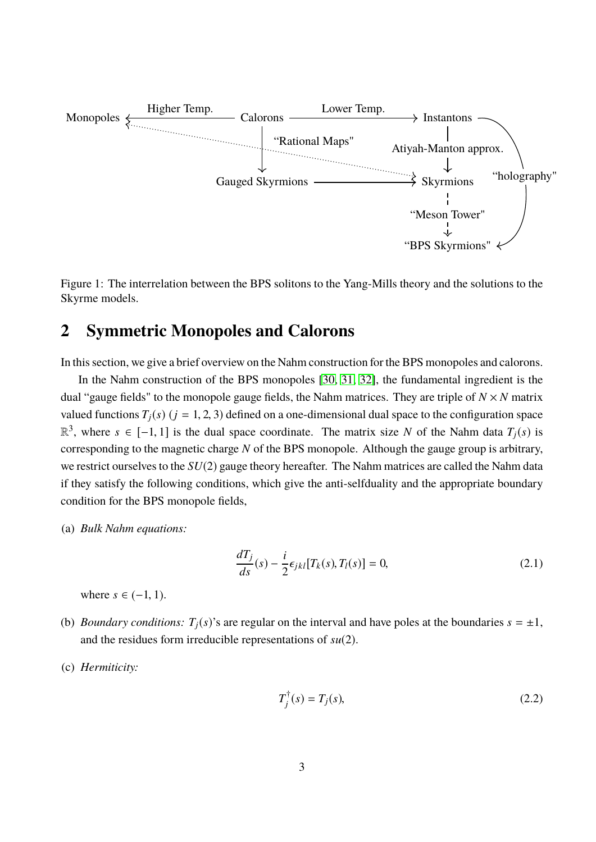

Figure 1: The interrelation between the BPS solitons to the Yang-Mills theory and the solutions to the Skyrme models.

## **2 Symmetric Monopoles and Calorons**

In this section, we give a brief overview on the Nahm construction for the BPS monopoles and calorons.

In the Nahm construction of the BPS monopoles [\[30,](#page-33-8) [31,](#page-33-9) [32\]](#page-33-10), the fundamental ingredient is the dual "gauge fields" to the monopole gauge fields, the Nahm matrices. They are triple of  $N \times N$  matrix valued functions  $T_i(s)$  ( $j = 1, 2, 3$ ) defined on a one-dimensional dual space to the configuration space  $\mathbb{R}^3$ , where *s* ∈ [−1, 1] is the dual space coordinate. The matrix size *N* of the Nahm data *T<sub>j</sub>*(*s*) is corresponding to the magnetic charge *N* of the BPS monopole. Although the gauge group is arbitrary, we restrict ourselves to the *SU*(2) gauge theory hereafter. The Nahm matrices are called the Nahm data if they satisfy the following conditions, which give the anti-selfduality and the appropriate boundary condition for the BPS monopole fields,

(a) *Bulk Nahm equations:*

$$
\frac{dT_j}{ds}(s) - \frac{i}{2}\epsilon_{jkl}[T_k(s), T_l(s)] = 0,
$$
\n(2.1)

where  $s \in (-1, 1)$ .

- (b) *Boundary conditions:*  $T_i(s)$ 's are regular on the interval and have poles at the boundaries  $s = \pm 1$ , and the residues form irreducible representations of *su*(2).
- (c) *Hermiticity:*

$$
T_j^{\dagger}(s) = T_j(s),\tag{2.2}
$$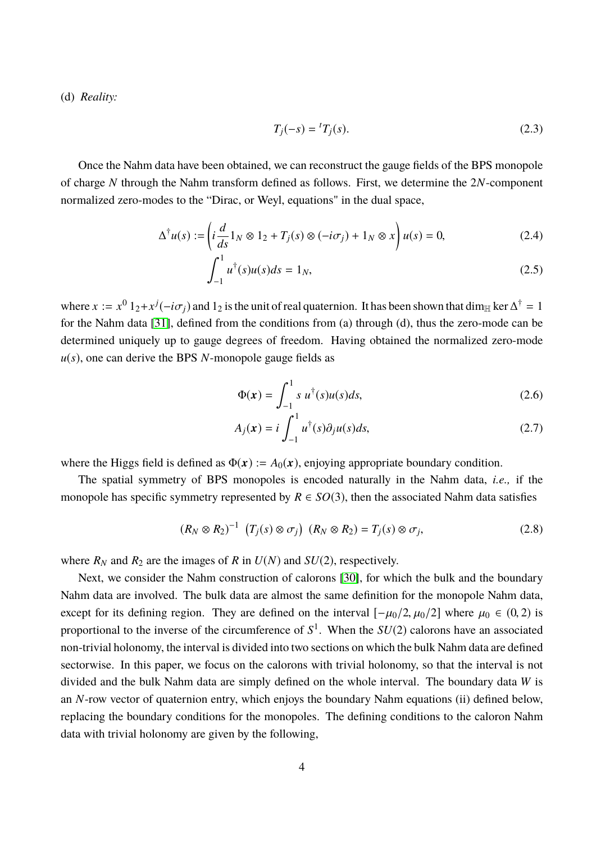(d) *Reality:*

<span id="page-4-1"></span>
$$
T_j(-s) = {}^tT_j(s).
$$
 (2.3)

Once the Nahm data have been obtained, we can reconstruct the gauge fields of the BPS monopole of charge *N* through the Nahm transform defined as follows. First, we determine the 2*N*-component normalized zero-modes to the "Dirac, or Weyl, equations" in the dual space,

$$
\Delta^{\dagger} u(s) := \left( i \frac{d}{ds} 1_N \otimes 1_2 + T_j(s) \otimes (-i\sigma_j) + 1_N \otimes x \right) u(s) = 0, \tag{2.4}
$$

$$
\int_{-1}^{1} u^{\dagger}(s)u(s)ds = 1_N,
$$
\n(2.5)

where  $x := x^0 1_2 + x^j(-i\sigma_j)$  and  $1_2$  is the unit of real quaternion. It has been shown that dim<sub>H</sub> ker  $\Delta^{\dagger} = 1$ for the Nahm data [\[31\]](#page-33-9), defined from the conditions from (a) through (d), thus the zero-mode can be determined uniquely up to gauge degrees of freedom. Having obtained the normalized zero-mode *u*(*s*), one can derive the BPS *N*-monopole gauge fields as

$$
\Phi(x) = \int_{-1}^{1} s u^{\dagger}(s) u(s) ds,
$$
\n(2.6)

<span id="page-4-0"></span>
$$
A_j(\mathbf{x}) = i \int_{-1}^1 u^{\dagger}(s) \partial_j u(s) ds,
$$
\n(2.7)

where the Higgs field is defined as  $\Phi(x) := A_0(x)$ , enjoying appropriate boundary condition.

The spatial symmetry of BPS monopoles is encoded naturally in the Nahm data, *i.e.,* if the monopole has specific symmetry represented by  $R \in SO(3)$ , then the associated Nahm data satisfies

$$
(R_N \otimes R_2)^{-1} (T_j(s) \otimes \sigma_j) (R_N \otimes R_2) = T_j(s) \otimes \sigma_j,
$$
 (2.8)

where  $R_N$  and  $R_2$  are the images of  $R$  in  $U(N)$  and  $SU(2)$ , respectively.

Next, we consider the Nahm construction of calorons [\[30\]](#page-33-8), for which the bulk and the boundary Nahm data are involved. The bulk data are almost the same definition for the monopole Nahm data, except for its defining region. They are defined on the interval  $[-\mu_0/2, \mu_0/2]$  where  $\mu_0 \in (0, 2)$  is proportional to the inverse of the circumference of *S* 1 . When the *SU*(2) calorons have an associated non-trivial holonomy, the interval is divided into two sections on which the bulk Nahm data are defined sectorwise. In this paper, we focus on the calorons with trivial holonomy, so that the interval is not divided and the bulk Nahm data are simply defined on the whole interval. The boundary data *W* is an *N*-row vector of quaternion entry, which enjoys the boundary Nahm equations (ii) defined below, replacing the boundary conditions for the monopoles. The defining conditions to the caloron Nahm data with trivial holonomy are given by the following,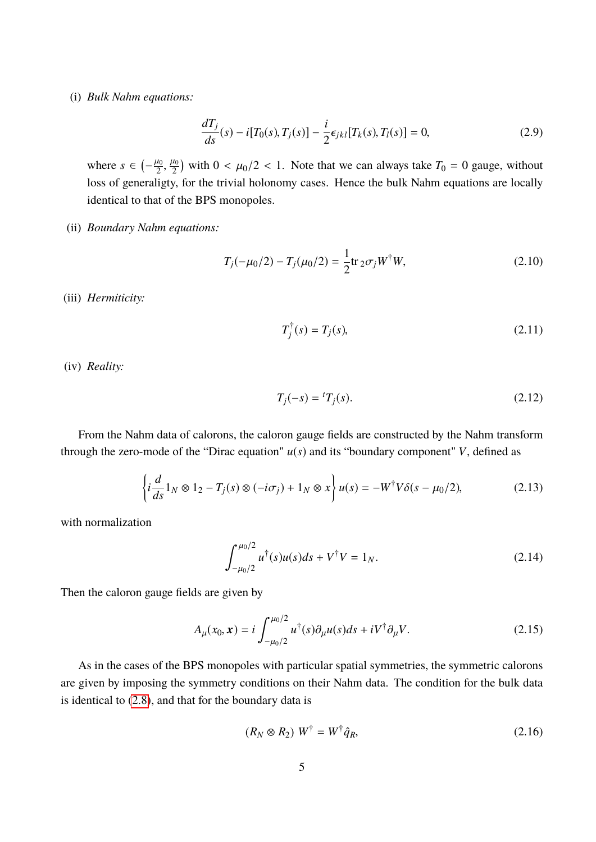#### (i) *Bulk Nahm equations:*

$$
\frac{dT_j}{ds}(s) - i[T_0(s), T_j(s)] - \frac{i}{2}\epsilon_{jkl}[T_k(s), T_l(s)] = 0,
$$
\n(2.9)

where  $s \in \left(-\frac{\mu_0}{2},\right)$  $\frac{\mu_0}{2}$  with  $0 < \mu_0/2 < 1$ . Note that we can always take  $T_0 = 0$  gauge, without loss of generaligty, for the trivial holonomy cases. Hence the bulk Nahm equations are locally identical to that of the BPS monopoles.

#### (ii) *Boundary Nahm equations:*

$$
T_j(-\mu_0/2) - T_j(\mu_0/2) = \frac{1}{2} \text{tr}_2 \sigma_j W^{\dagger} W,
$$
\n(2.10)

(iii) *Hermiticity:*

<span id="page-5-2"></span><span id="page-5-1"></span>
$$
T_j^{\dagger}(s) = T_j(s), \tag{2.11}
$$

(iv) *Reality:*

<span id="page-5-0"></span>
$$
T_j(-s) = {}^t T_j(s).
$$
 (2.12)

From the Nahm data of calorons, the caloron gauge fields are constructed by the Nahm transform through the zero-mode of the "Dirac equation"  $u(s)$  and its "boundary component" *V*, defined as

$$
\left\{ i\frac{d}{ds}1_N \otimes 1_2 - T_j(s) \otimes (-i\sigma_j) + 1_N \otimes x \right\} u(s) = -W^{\dagger}V\delta(s - \mu_0/2), \tag{2.13}
$$

with normalization

$$
\int_{-\mu_0/2}^{\mu_0/2} u^{\dagger}(s)u(s)ds + V^{\dagger}V = 1_N.
$$
 (2.14)

Then the caloron gauge fields are given by

$$
A_{\mu}(x_0, x) = i \int_{-\mu_0/2}^{\mu_0/2} u^{\dagger}(s) \partial_{\mu} u(s) ds + iV^{\dagger} \partial_{\mu} V.
$$
 (2.15)

As in the cases of the BPS monopoles with particular spatial symmetries, the symmetric calorons are given by imposing the symmetry conditions on their Nahm data. The condition for the bulk data is identical to [\(2.8\)](#page-4-0), and that for the boundary data is

$$
(R_N \otimes R_2) W^{\dagger} = W^{\dagger} \hat{q}_R, \tag{2.16}
$$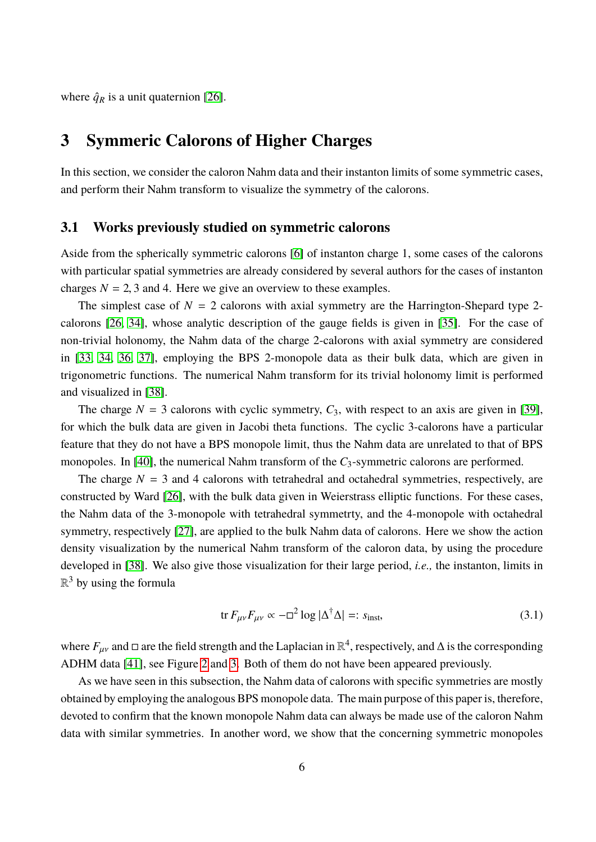where  $\hat{q}_R$  is a unit quaternion [\[26\]](#page-33-4).

## **3 Symmeric Calorons of Higher Charges**

In this section, we consider the caloron Nahm data and their instanton limits of some symmetric cases, and perform their Nahm transform to visualize the symmetry of the calorons.

#### **3.1 Works previously studied on symmetric calorons**

Aside from the spherically symmetric calorons [\[6\]](#page-32-5) of instanton charge 1, some cases of the calorons with particular spatial symmetries are already considered by several authors for the cases of instanton charges  $N = 2, 3$  and 4. Here we give an overview to these examples.

The simplest case of  $N = 2$  calorons with axial symmetry are the Harrington-Shepard type 2calorons [\[26,](#page-33-4) [34\]](#page-33-11), whose analytic description of the gauge fields is given in [\[35\]](#page-33-12). For the case of non-trivial holonomy, the Nahm data of the charge 2-calorons with axial symmetry are considered in [\[33,](#page-33-13) [34,](#page-33-11) [36,](#page-33-14) [37\]](#page-33-15), employing the BPS 2-monopole data as their bulk data, which are given in trigonometric functions. The numerical Nahm transform for its trivial holonomy limit is performed and visualized in [\[38\]](#page-33-16).

The charge  $N = 3$  calorons with cyclic symmetry,  $C_3$ , with respect to an axis are given in [\[39\]](#page-33-17), for which the bulk data are given in Jacobi theta functions. The cyclic 3-calorons have a particular feature that they do not have a BPS monopole limit, thus the Nahm data are unrelated to that of BPS monopoles. In [\[40\]](#page-33-18), the numerical Nahm transform of the  $C_3$ -symmetric calorons are performed.

The charge  $N = 3$  and 4 calorons with tetrahedral and octahedral symmetries, respectively, are constructed by Ward [\[26\]](#page-33-4), with the bulk data given in Weierstrass elliptic functions. For these cases, the Nahm data of the 3-monopole with tetrahedral symmetrty, and the 4-monopole with octahedral symmetry, respectively [\[27\]](#page-33-5), are applied to the bulk Nahm data of calorons. Here we show the action density visualization by the numerical Nahm transform of the caloron data, by using the procedure developed in [\[38\]](#page-33-16). We also give those visualization for their large period, *i.e.,* the instanton, limits in  $\mathbb{R}^3$  by using the formula

<span id="page-6-0"></span>
$$
\text{tr}\,F_{\mu\nu}F_{\mu\nu}\propto -\Box^2\log|\Delta^{\dagger}\Delta|=:s_{\text{inst}},\tag{3.1}
$$

where  $F_{\mu\nu}$  and  $\square$  are the field strength and the Laplacian in  $\mathbb{R}^4$ , respectively, and  $\triangle$  is the corresponding ADHM data [\[41\]](#page-33-19), see Figure [2](#page-7-0) and [3.](#page-8-0) Both of them do not have been appeared previously.

As we have seen in this subsection, the Nahm data of calorons with specific symmetries are mostly obtained by employing the analogous BPS monopole data. The main purpose of this paper is, therefore, devoted to confirm that the known monopole Nahm data can always be made use of the caloron Nahm data with similar symmetries. In another word, we show that the concerning symmetric monopoles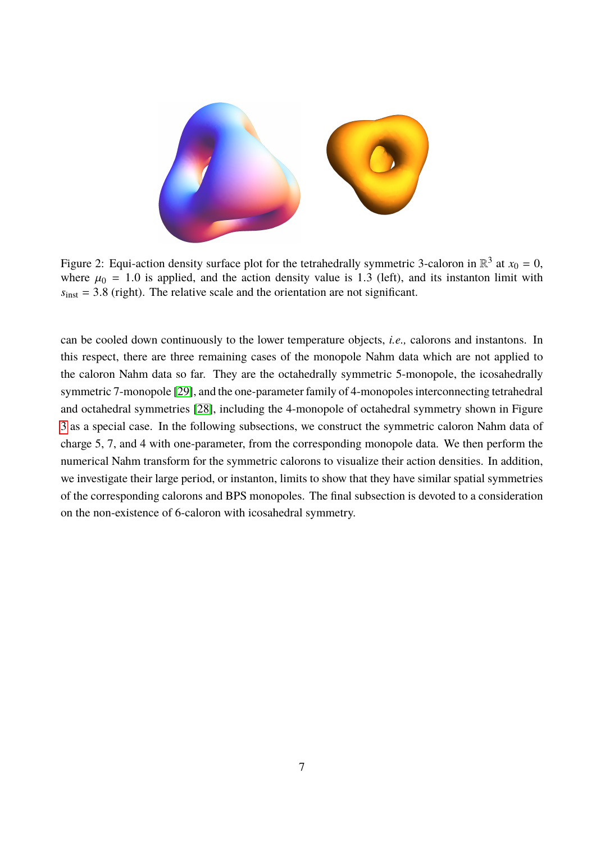

<span id="page-7-0"></span>Figure 2: Equi-action density surface plot for the tetrahedrally symmetric 3-caloron in  $\mathbb{R}^3$  at  $x_0 = 0$ , where  $\mu_0 = 1.0$  is applied, and the action density value is 1.3 (left), and its instanton limit with  $s_{inst} = 3.8$  (right). The relative scale and the orientation are not significant.

can be cooled down continuously to the lower temperature objects, *i.e.,* calorons and instantons. In this respect, there are three remaining cases of the monopole Nahm data which are not applied to the caloron Nahm data so far. They are the octahedrally symmetric 5-monopole, the icosahedrally symmetric 7-monopole [\[29\]](#page-33-7), and the one-parameter family of 4-monopoles interconnecting tetrahedral and octahedral symmetries [\[28\]](#page-33-6), including the 4-monopole of octahedral symmetry shown in Figure [3](#page-8-0) as a special case. In the following subsections, we construct the symmetric caloron Nahm data of charge 5, 7, and 4 with one-parameter, from the corresponding monopole data. We then perform the numerical Nahm transform for the symmetric calorons to visualize their action densities. In addition, we investigate their large period, or instanton, limits to show that they have similar spatial symmetries of the corresponding calorons and BPS monopoles. The final subsection is devoted to a consideration on the non-existence of 6-caloron with icosahedral symmetry.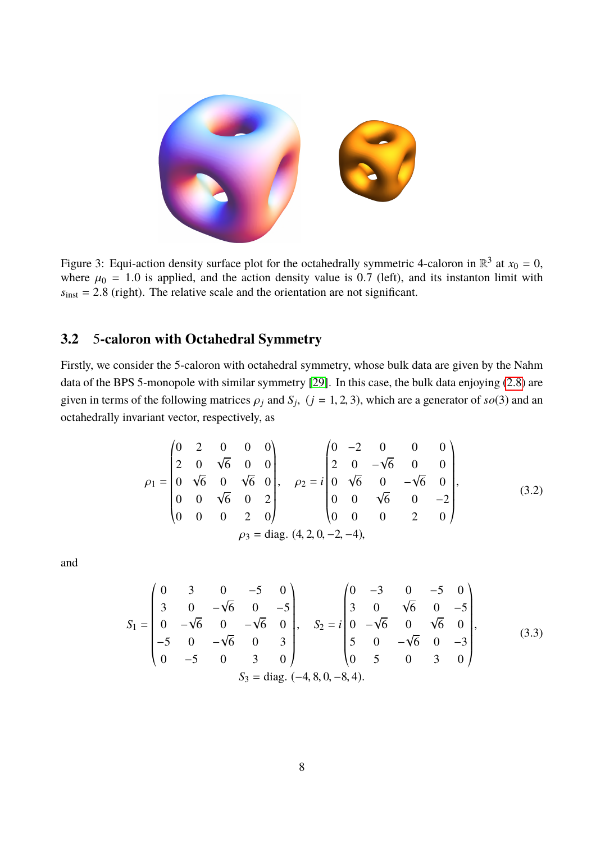

Figure 3: Equi-action density surface plot for the octahedrally symmetric 4-caloron in  $\mathbb{R}^3$  at  $x_0 = 0$ , where  $\mu_0 = 1.0$  is applied, and the action density value is 0.7 (left), and its instanton limit with  $s<sub>inst</sub> = 2.8$  (right). The relative scale and the orientation are not significant.

### <span id="page-8-0"></span>**3.2** 5**-caloron with Octahedral Symmetry**

Firstly, we consider the 5-caloron with octahedral symmetry, whose bulk data are given by the Nahm data of the BPS 5-monopole with similar symmetry [\[29\]](#page-33-7). In this case, the bulk data enjoying [\(2.8\)](#page-4-0) are given in terms of the following matrices  $\rho_j$  and  $S_j$ ,  $(j = 1, 2, 3)$ , which are a generator of  $so(3)$  and an octahedrally invariant vector, respectively, as

<span id="page-8-1"></span>
$$
\rho_1 = \begin{pmatrix}\n0 & 2 & 0 & 0 & 0 \\
2 & 0 & \sqrt{6} & 0 & 0 \\
0 & \sqrt{6} & 0 & \sqrt{6} & 0 \\
0 & 0 & \sqrt{6} & 0 & 2 \\
0 & 0 & 0 & 2 & 0\n\end{pmatrix}, \quad \rho_2 = i \begin{pmatrix}\n0 & -2 & 0 & 0 & 0 \\
2 & 0 & -\sqrt{6} & 0 & 0 \\
0 & \sqrt{6} & 0 & -\sqrt{6} & 0 \\
0 & 0 & \sqrt{6} & 0 & -2 \\
0 & 0 & 0 & 2 & 0\n\end{pmatrix},
$$
\n(3.2)\n  
\n
$$
\rho_3 = \text{diag. } (4, 2, 0, -2, -4),
$$

and

<span id="page-8-2"></span>
$$
S_{1} = \begin{pmatrix} 0 & 3 & 0 & -5 & 0 \\ 3 & 0 & -\sqrt{6} & 0 & -5 \\ 0 & -\sqrt{6} & 0 & -\sqrt{6} & 0 \\ -5 & 0 & -\sqrt{6} & 0 & 3 \\ 0 & -5 & 0 & 3 & 0 \end{pmatrix}, \quad S_{2} = i \begin{pmatrix} 0 & -3 & 0 & -5 & 0 \\ 3 & 0 & \sqrt{6} & 0 & -5 \\ 0 & -\sqrt{6} & 0 & \sqrt{6} & 0 \\ 5 & 0 & -\sqrt{6} & 0 & -3 \\ 0 & 5 & 0 & 3 & 0 \end{pmatrix}, \quad (3.3)
$$
  

$$
S_{3} = \text{diag. } (-4, 8, 0, -8, 4).
$$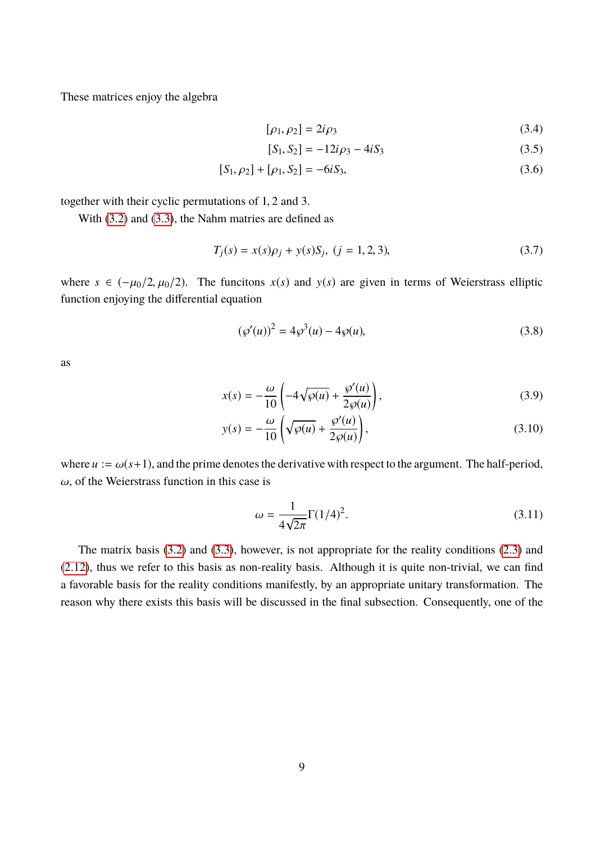These matrices enjoy the algebra

$$
[\rho_1, \rho_2] = 2i\rho_3 \tag{3.4}
$$

$$
[S_1, S_2] = -12i\rho_3 - 4iS_3 \tag{3.5}
$$

$$
[S_1, \rho_2] + [\rho_1, S_2] = -6iS_3,
$$
\n(3.6)

together with their cyclic permutations of <sup>1</sup>, <sup>2</sup> and 3.

With [\(3.2\)](#page-8-1) and [\(3.3\)](#page-8-2), the Nahm matries are defined as

$$
T_j(s) = x(s)\rho_j + y(s)S_j, \ (j = 1, 2, 3), \tag{3.7}
$$

where  $s \in (-\mu_0/2, \mu_0/2)$ . The funcitons  $x(s)$  and  $y(s)$  are given in terms of Weierstrass elliptic function enjoying the differential equation

$$
(\wp'(u))^2 = 4\wp^3(u) - 4\wp(u),\tag{3.8}
$$

as

$$
x(s) = -\frac{\omega}{10} \left( -4\sqrt{\wp(u)} + \frac{\wp'(u)}{2\wp(u)} \right),
$$
\n
$$
\omega \left( \frac{\wp'(u)}{\wp(u)} \right),
$$
\n(3.9)

$$
y(s) = -\frac{\omega}{10} \left( \sqrt{\wp(u)} + \frac{\wp'(u)}{2\wp(u)} \right),\tag{3.10}
$$

where  $u := \omega(s+1)$ , and the prime denotes the derivative with respect to the argument. The half-period,  $\omega$ , of the Weierstrass function in this case is

$$
\omega = \frac{1}{4\sqrt{2\pi}} \Gamma(1/4)^2.
$$
\n(3.11)

The matrix basis [\(3.2\)](#page-8-1) and [\(3.3\)](#page-8-2), however, is not appropriate for the reality conditions [\(2.3\)](#page-4-1) and [\(2.12\)](#page-5-0), thus we refer to this basis as non-reality basis. Although it is quite non-trivial, we can find a favorable basis for the reality conditions manifestly, by an appropriate unitary transformation. The reason why there exists this basis will be discussed in the final subsection. Consequently, one of the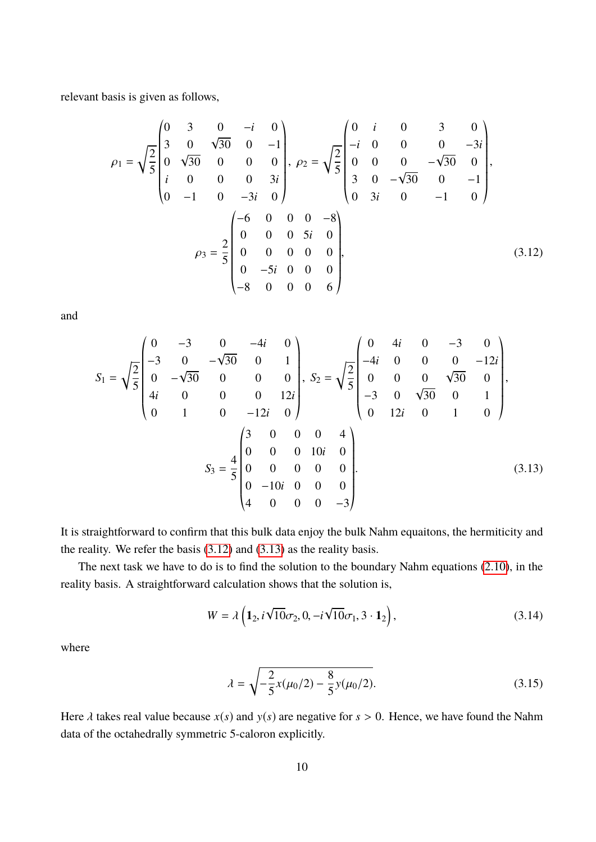relevant basis is given as follows,

<span id="page-10-0"></span>
$$
\rho_1 = \sqrt{\frac{2}{5}} \begin{pmatrix} 0 & 3 & 0 & -i & 0 \\ 3 & 0 & \sqrt{30} & 0 & -1 \\ 0 & \sqrt{30} & 0 & 0 & 0 \\ i & 0 & 0 & 0 & 3i \\ 0 & -1 & 0 & -3i & 0 \end{pmatrix}, \ \rho_2 = \sqrt{\frac{2}{5}} \begin{pmatrix} 0 & i & 0 & 3 & 0 \\ -i & 0 & 0 & 0 & -3i \\ 0 & 0 & 0 & -\sqrt{30} & 0 \\ 3 & 0 & -\sqrt{30} & 0 & -1 \\ 0 & 3i & 0 & -1 & 0 \end{pmatrix},
$$

$$
\rho_3 = \frac{2}{5} \begin{pmatrix} -6 & 0 & 0 & 0 & -8 \\ 0 & 0 & 0 & 5i & 0 \\ 0 & 0 & 0 & 0 & 0 \\ -8 & 0 & 0 & 0 & 6 \end{pmatrix}, \tag{3.12}
$$

and

$$
S_{1} = \sqrt{\frac{2}{5}} \begin{pmatrix} 0 & -3 & 0 & -4i & 0 \\ -3 & 0 & -\sqrt{30} & 0 & 1 \\ 0 & -\sqrt{30} & 0 & 0 & 0 \\ 4i & 0 & 0 & 0 & 12i \\ 0 & 1 & 0 & -12i & 0 \end{pmatrix}, S_{2} = \sqrt{\frac{2}{5}} \begin{pmatrix} 0 & 4i & 0 & -3 & 0 \\ -4i & 0 & 0 & 0 & -12i \\ 0 & 0 & 0 & \sqrt{30} & 0 \\ -3 & 0 & \sqrt{30} & 0 & 1 \\ 0 & 12i & 0 & 1 & 0 \end{pmatrix},
$$

$$
S_{3} = \frac{4}{5} \begin{pmatrix} 3 & 0 & 0 & 0 & 4 \\ 0 & 0 & 0 & 10i & 0 \\ 0 & 0 & 0 & 0 & 0 \\ 0 & -10i & 0 & 0 & 0 \\ 4 & 0 & 0 & 0 & -3 \end{pmatrix}.
$$
(3.13)

It is straightforward to confirm that this bulk data enjoy the bulk Nahm equaitons, the hermiticity and the reality. We refer the basis [\(3.12\)](#page-10-0) and [\(3.13\)](#page-10-1) as the reality basis.

The next task we have to do is to find the solution to the boundary Nahm equations [\(2.10\)](#page-5-1), in the reality basis. A straightforward calculation shows that the solution is,

<span id="page-10-1"></span>
$$
W = \lambda \left( \mathbf{1}_2, i\sqrt{10}\sigma_2, 0, -i\sqrt{10}\sigma_1, 3 \cdot \mathbf{1}_2 \right),\tag{3.14}
$$

where

<span id="page-10-3"></span><span id="page-10-2"></span>
$$
\lambda = \sqrt{-\frac{2}{5}x(\mu_0/2) - \frac{8}{5}y(\mu_0/2)}.
$$
\n(3.15)

Here  $\lambda$  takes real value because  $x(s)$  and  $y(s)$  are negative for  $s > 0$ . Hence, we have found the Nahm data of the octahedrally symmetric 5-caloron explicitly.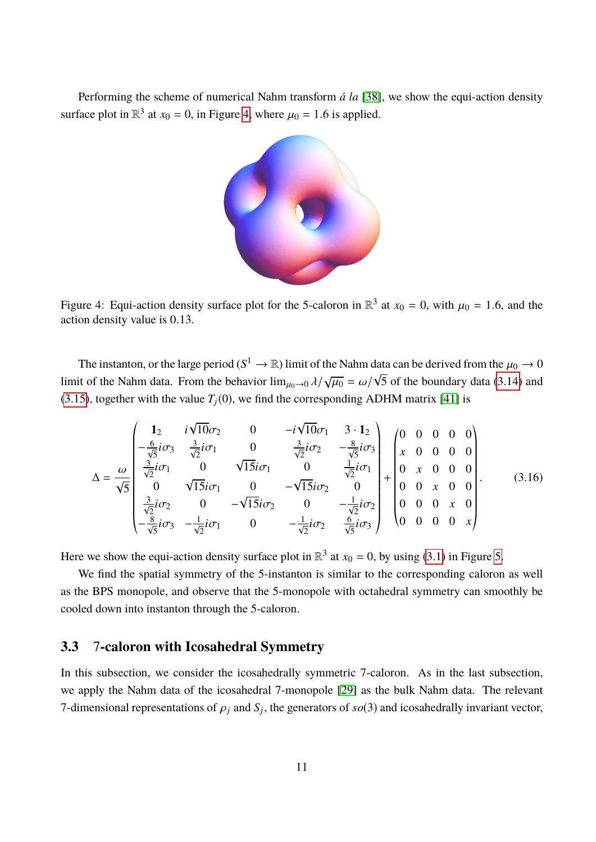Performing the scheme of numerical Nahm transform *á la* [\[38\]](#page-33-16), we show the equi-action density surface plot in  $\mathbb{R}^3$  at  $x_0 = 0$ , in Figure [4,](#page-11-0) where  $\mu_0 = 1.6$  is applied.



<span id="page-11-0"></span>Figure 4: Equi-action density surface plot for the 5-caloron in  $\mathbb{R}^3$  at  $x_0 = 0$ , with  $\mu_0 = 1.6$ , and the action density value is 0.13 action density value is <sup>0</sup>.13.

The instanton, or the large period ( $S^1 \to \mathbb{R}$ ) limit of the Nahm data can be derived from the  $\mu_0 \to 0$ limit of the Nahm data. From the behavior  $\lim_{\mu_0 \to 0} \frac{\lambda}{\sqrt{\mu_0}} = \omega/$ µu<br>¦ 5 of the boundary data [\(3.14\)](#page-10-2) and [\(3.15\)](#page-10-3), together with the value  $T_i(0)$ , we find the corresponding ADHM matrix [\[41\]](#page-33-19) is

$$
\Delta = \frac{\omega}{\sqrt{5}} \begin{pmatrix} 1_2 & i\sqrt{10}\sigma_2 & 0 & -i\sqrt{10}\sigma_1 & 3 \cdot 1_2 \\ -\frac{6}{\sqrt{5}}i\sigma_3 & \frac{3}{\sqrt{2}}i\sigma_1 & 0 & \frac{3}{\sqrt{2}}i\sigma_2 & -\frac{8}{\sqrt{5}}i\sigma_3 \\ \frac{3}{\sqrt{2}}i\sigma_1 & 0 & \sqrt{15}i\sigma_1 & 0 & \frac{1}{\sqrt{2}}i\sigma_1 \\ 0 & \sqrt{15}i\sigma_1 & 0 & -\sqrt{15}i\sigma_2 & 0 \\ \frac{3}{\sqrt{2}}i\sigma_2 & 0 & -\sqrt{15}i\sigma_2 & 0 & -\frac{1}{\sqrt{2}}i\sigma_2 \\ -\frac{8}{\sqrt{5}}i\sigma_3 & -\frac{1}{\sqrt{2}}i\sigma_1 & 0 & -\frac{1}{\sqrt{2}}i\sigma_2 & \frac{6}{\sqrt{5}}i\sigma_3 \end{pmatrix} + \begin{pmatrix} 0 & 0 & 0 & 0 & 0 \\ x & 0 & 0 & 0 & 0 \\ 0 & x & 0 & 0 & 0 \\ 0 & 0 & x & 0 & 0 \\ 0 & 0 & 0 & x & 0 \\ 0 & 0 & 0 & 0 & x \end{pmatrix} .
$$
(3.16)

Here we show the equi-action density surface plot in  $\mathbb{R}^3$  at  $x_0 = 0$ , by using [\(3.1\)](#page-6-0) in Figure [5.](#page-12-0)

We find the spatial symmetry of the 5-instanton is similar to the corresponding caloron as well as the BPS monopole, and observe that the 5-monopole with octahedral symmetry can smoothly be cooled down into instanton through the 5-caloron.

### **3.3** 7**-caloron with Icosahedral Symmetry**

In this subsection, we consider the icosahedrally symmetric 7-caloron. As in the last subsection, we apply the Nahm data of the icosahedral 7-monopole [\[29\]](#page-33-7) as the bulk Nahm data. The relevant 7-dimensional representations of  $\rho_j$  and  $S_j$ , the generators of  $so(3)$  and icosahedrally invariant vector,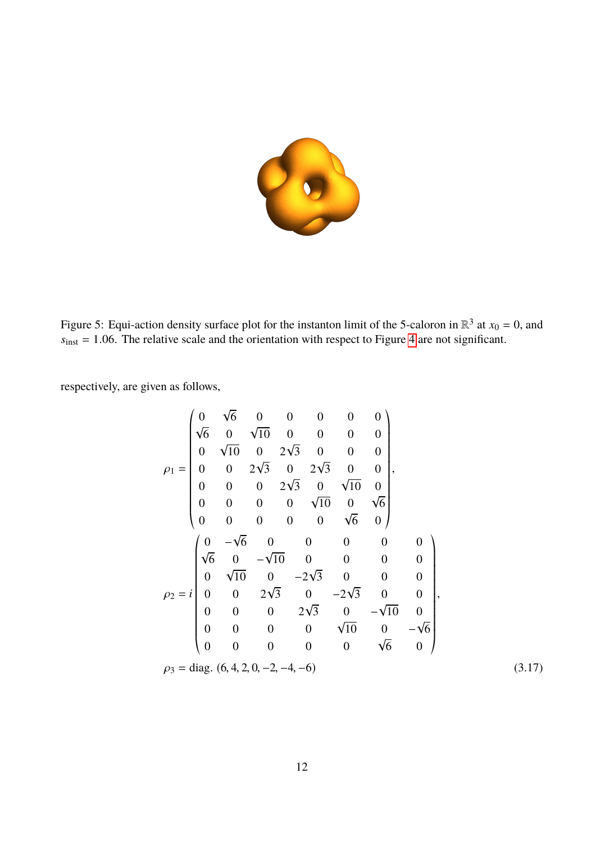

<span id="page-12-0"></span>Figure 5: Equi-action density surface plot for the instanton limit of the 5-caloron in  $\mathbb{R}^3$  at  $x_0 = 0$ , and  $s_{\text{inst}} = 1.06$ . The relative scale and the orientation with respect to Figure [4](#page-11-0) are not significant.

respectively, are given as follows,

<span id="page-12-1"></span>
$$
\rho_1 = \begin{pmatrix}\n0 & \sqrt{6} & 0 & 0 & 0 & 0 & 0 \\
\sqrt{6} & 0 & \sqrt{10} & 0 & 0 & 0 & 0 \\
0 & \sqrt{10} & 0 & 2\sqrt{3} & 0 & 0 & 0 \\
0 & 0 & 2\sqrt{3} & 0 & 2\sqrt{3} & 0 & 0 \\
0 & 0 & 0 & 2\sqrt{3} & 0 & \sqrt{10} & 0 \\
0 & 0 & 0 & 0 & \sqrt{6} & 0 & 0 \\
0 & 0 & 0 & 0 & 0 & \sqrt{6} & 0\n\end{pmatrix},
$$
\n
$$
\rho_2 = i \begin{pmatrix}\n0 & -\sqrt{6} & 0 & 0 & 0 & 0 & 0 \\
\sqrt{6} & 0 & -\sqrt{10} & 0 & 0 & 0 & 0 \\
0 & \sqrt{10} & 0 & -2\sqrt{3} & 0 & 0 & 0 \\
0 & 0 & 2\sqrt{3} & 0 & -2\sqrt{3} & 0 & 0 \\
0 & 0 & 0 & 2\sqrt{3} & 0 & -\sqrt{10} & 0 \\
0 & 0 & 0 & 0 & \sqrt{10} & 0 & -\sqrt{6} \\
0 & 0 & 0 & 0 & 0 & \sqrt{6} & 0\n\end{pmatrix},
$$
\n
$$
\rho_3 = diag. (6, 4, 2, 0, -2, -4, -6)
$$
\n(3.17)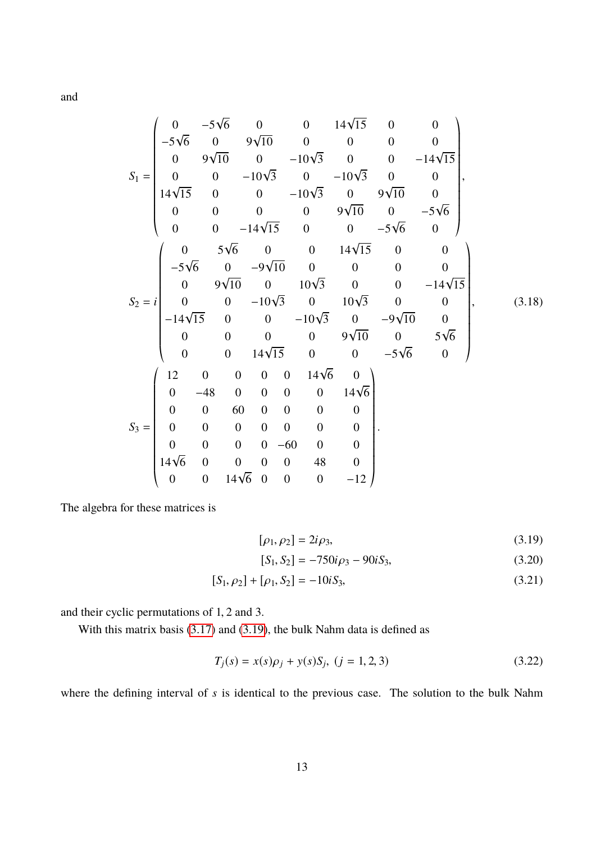and

$$
S_{1} = \begin{pmatrix}\n0 & -5\sqrt{6} & 0 & 0 & 14\sqrt{15} & 0 & 0 \\
-5\sqrt{6} & 0 & 9\sqrt{10} & 0 & 0 & 0 & 0 \\
0 & 9\sqrt{10} & 0 & -10\sqrt{3} & 0 & 0 & -14\sqrt{15} \\
0 & 0 & -10\sqrt{3} & 0 & -10\sqrt{3} & 0 & 0 \\
14\sqrt{15} & 0 & 0 & -10\sqrt{3} & 0 & 9\sqrt{10} & 0 \\
0 & 0 & 0 & 0 & 9\sqrt{10} & 0 & -5\sqrt{6} \\
0 & 0 & -14\sqrt{15} & 0 & 0 & -5\sqrt{6} & 0\n\end{pmatrix},
$$
\n
$$
S_{2} = i \begin{pmatrix}\n0 & 5\sqrt{6} & 0 & 0 & 14\sqrt{15} & 0 & 0 \\
-5\sqrt{6} & 0 & -9\sqrt{10} & 0 & 0 & 0 & 0 \\
0 & 9\sqrt{10} & 0 & 10\sqrt{3} & 0 & 0 & -14\sqrt{15} \\
0 & 0 & -10\sqrt{3} & 0 & 10\sqrt{3} & 0 & 0 \\
-14\sqrt{15} & 0 & 0 & -10\sqrt{3} & 0 & -9\sqrt{10} & 0 \\
0 & 0 & 0 & 0 & 9\sqrt{10} & 0 & 5\sqrt{6} \\
0 & 0 & 14\sqrt{15} & 0 & 0 & -5\sqrt{6} & 0\n\end{pmatrix},
$$
\n(3.18)  
\n
$$
S_{3} = \begin{pmatrix}\n12 & 0 & 0 & 0 & 0 & 14\sqrt{6} & 0 \\
0 & -48 & 0 & 0 & 0 & 0 & 14\sqrt{6} \\
0 & 0 & 60 & 0 & 0 & 0 & 0 \\
0 & 0 & 0 & 0 & 0 & 0 & 0 \\
0 & 0 & 0 & 0 & 0 & 0 & 0 \\
0 & 0 & 0 & 0 & 0 & 0 & 0 \\
0 & 0 & 0 & 0 & 0 & 0 & 0 \\
0 & 0 & 0 & 0 & 0 & 0 & -12\n\end{pmatrix}.
$$

The algebra for these matrices is

$$
[\rho_1, \rho_2] = 2i\rho_3,\tag{3.19}
$$

<span id="page-13-0"></span>
$$
[S_1, S_2] = -750i\rho_3 - 90iS_3,
$$
 (3.20)

$$
[S_1, \rho_2] + [\rho_1, S_2] = -10iS_3,
$$
\n(3.21)

and their cyclic permutations of <sup>1</sup>, <sup>2</sup> and 3.

With this matrix basis [\(3.17\)](#page-12-1) and [\(3.19\)](#page-13-0), the bulk Nahm data is defined as

$$
T_j(s) = x(s)\rho_j + y(s)S_j, \ (j = 1, 2, 3)
$$
\n(3.22)

where the defining interval of *s* is identical to the previous case. The solution to the bulk Nahm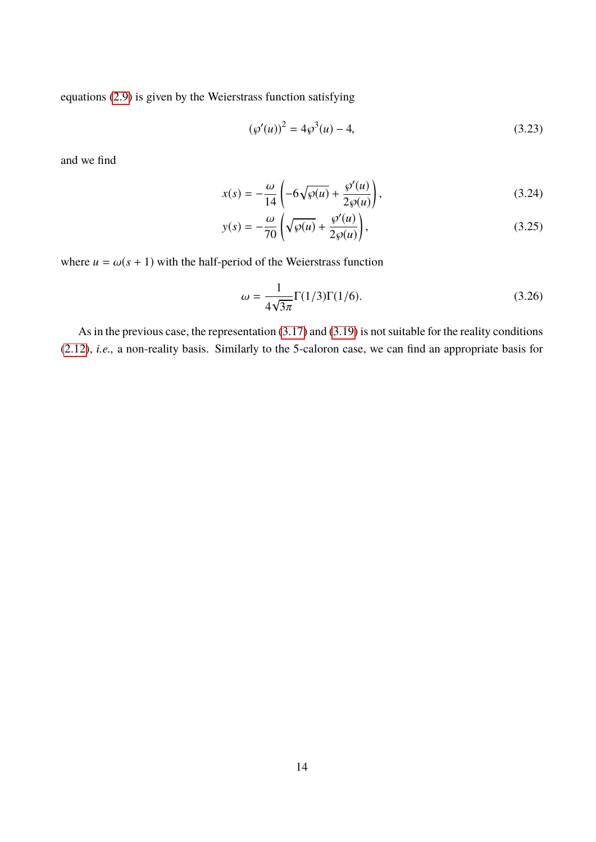equations [\(2.9\)](#page-5-2) is given by the Weierstrass function satisfying

$$
(\wp'(u))^2 = 4\wp^3(u) - 4,\tag{3.23}
$$

and we find

$$
x(s) = -\frac{\omega}{14} \left( -6\sqrt{\wp(u)} + \frac{\wp'(u)}{2\wp(u)} \right),\tag{3.24}
$$

$$
y(s) = -\frac{\omega}{70} \left( \sqrt{\wp(u)} + \frac{\wp'(u)}{2\wp(u)} \right),\tag{3.25}
$$

where  $u = \omega(s + 1)$  with the half-period of the Weierstrass function

$$
\omega = \frac{1}{4\sqrt{3\pi}} \Gamma(1/3) \Gamma(1/6).
$$
 (3.26)

As in the previous case, the representation [\(3.17\)](#page-12-1) and [\(3.19\)](#page-13-0) is not suitable for the reality conditions [\(2.12\)](#page-5-0), *i.e.,* a non-reality basis. Similarly to the 5-caloron case, we can find an appropriate basis for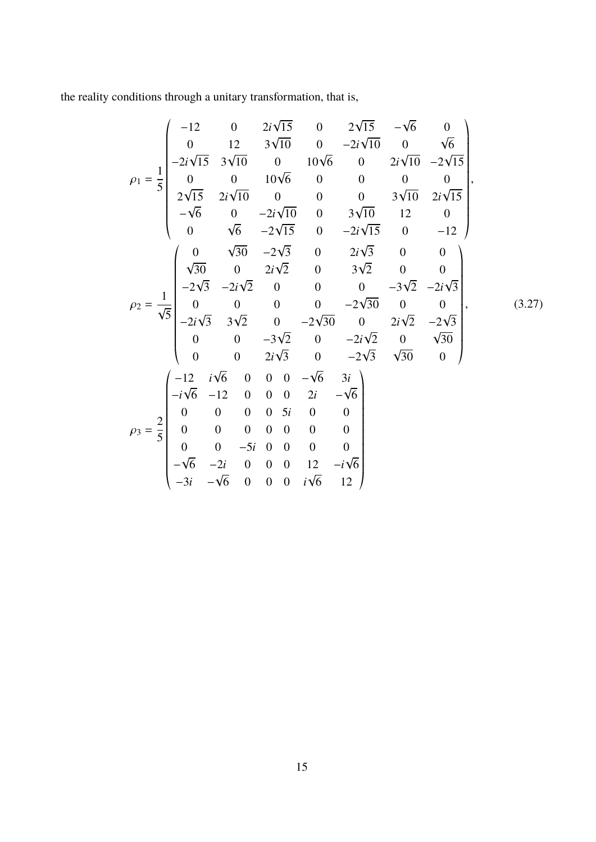the reality conditions through a unitary transformation, that is,

$$
\rho_1 = \frac{1}{5} \begin{pmatrix}\n-12 & 0 & 2i\sqrt{15} & 0 & 2\sqrt{15} & -\sqrt{6} & 0 \\
0 & 12 & 3\sqrt{10} & 0 & -2i\sqrt{10} & 0 & \sqrt{6} \\
-2i\sqrt{15} & 3\sqrt{10} & 0 & 10\sqrt{6} & 0 & 2i\sqrt{10} & -2\sqrt{15} \\
2\sqrt{15} & 2i\sqrt{10} & 0 & 0 & 0 & 3\sqrt{10} & 2i\sqrt{15} \\
-\sqrt{6} & 0 & -2i\sqrt{10} & 0 & 3\sqrt{10} & 12 & 0 \\
0 & \sqrt{6} & -2\sqrt{15} & 0 & -2i\sqrt{15} & 0 & -12 \\
0 & \sqrt{30} & -2\sqrt{3} & 0 & 2i\sqrt{3} & 0 & 0 \\
-2\sqrt{3} & -2i\sqrt{2} & 0 & 3\sqrt{2} & 0 & 0 \\
-2\sqrt{3} & -2i\sqrt{2} & 0 & 0 & 0 & -3\sqrt{2} & -2i\sqrt{3} \\
0 & 0 & 0 & 0 & -2\sqrt{30} & 0 & 0 \\
-2i\sqrt{3} & 3\sqrt{2} & 0 & -2\sqrt{30} & 0 & 2i\sqrt{2} & -2\sqrt{3} \\
0 & 0 & -3\sqrt{2} & 0 & -2i\sqrt{2} & 0 & \sqrt{30} \\
0 & 0 & 2i\sqrt{3} & 0 & -2\sqrt{3} & \sqrt{30} & 0\n\end{pmatrix},
$$
  
\n
$$
\rho_3 = \frac{2}{5} \begin{pmatrix}\n-12 & i\sqrt{6} & 0 & 0 & 0 & -\sqrt{6} & 3i \\
0 & 0 & 0 & 0 & 0 & 0 & 0 \\
0 & 0 & -5i & 0 & 0 & 0 & 0 \\
0 & 0 & -5i & 0 & 0 & 0 & 0 \\
0 & 0 & -5i & 0 & 0 & 0 & 0 \\
0 & 0 & -5i & 0 & 0 & 0 & 0 \\
0 & 0 & -5i & 0 & 0 & 0 & 0 \\
-3i & -\sqrt{6} & 0 & 0 & i\sqrt{6} & 12\n\end{pmatrix}
$$

 $(3.27)$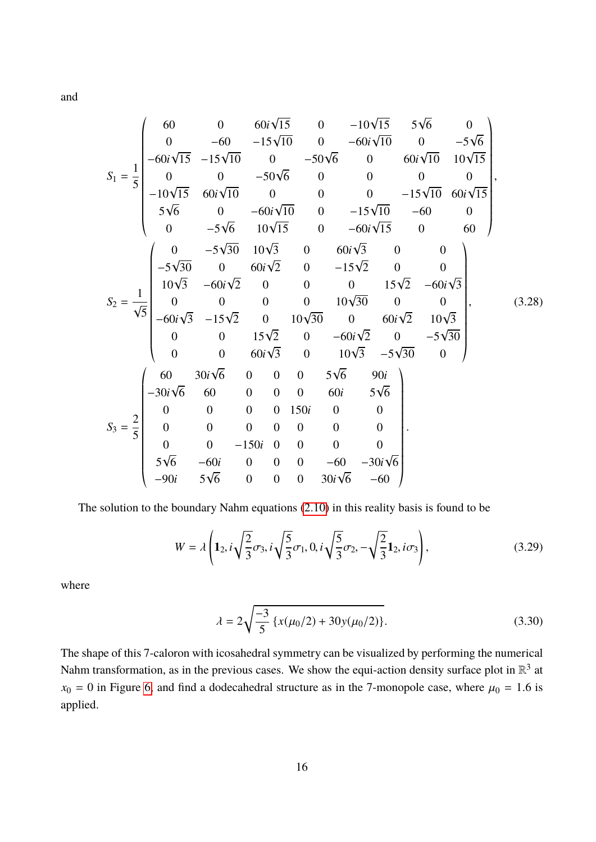and

$$
S_1 = \frac{1}{5} \begin{pmatrix} 60 & 0 & 60i\sqrt{15} & 0 & -10\sqrt{15} & 5\sqrt{6} & 0 \\ 0 & -60 & -15\sqrt{10} & 0 & -60i\sqrt{10} & 0 & -5\sqrt{6} \\ -60i\sqrt{15} & -15\sqrt{10} & 0 & -50\sqrt{6} & 0 & 60i\sqrt{10} & 10\sqrt{15} \\ 0 & 0 & -50\sqrt{6} & 0 & 0 & 0 & 0 \\ -10\sqrt{15} & 60i\sqrt{10} & 0 & 0 & -15\sqrt{10} & 60i\sqrt{15} \\ 5\sqrt{6} & 0 & -60i\sqrt{10} & 0 & -15\sqrt{10} & -60 & 0 \\ 0 & -5\sqrt{6} & 10\sqrt{15} & 0 & -60i\sqrt{15} & 0 & 60 \\ 0 & -5\sqrt{30} & 10\sqrt{3} & 0 & 60i\sqrt{3} & 0 & 0 \\ 10\sqrt{3} & -60i\sqrt{2} & 0 & 0 & 15\sqrt{2} & -60i\sqrt{3} \\ 0 & 0 & 0 & 0 & 10\sqrt{30} & 0 & 0 \\ -60i\sqrt{3} & -15\sqrt{2} & 0 & 10\sqrt{30} & 0 & 60i\sqrt{2} & 10\sqrt{3} \\ 0 & 0 & 15\sqrt{2} & 0 & -60i\sqrt{2} & 0 & -5\sqrt{30} \\ 0 & 0 & 15\sqrt{2} & 0 & -60i\sqrt{2} & 0 & -5\sqrt{30} \\ 0 & 0 & 60i\sqrt{3} & 0 & 10\sqrt{3} & -5\sqrt{30} & 0 \\ 0 & 0 & 0 & 0 & 5\sqrt{6} & 90i \\ 0 & 0 & 0 & 0 & 0 & 0 & 5\sqrt{6} \\ 0 & 0 & 0 & 0 & 0 & 0 & 0 \\ 0 & 0 & -150i & 0 & 0 & 0 & 0 \\ 5\sqrt{6} & -60i & 0 & 0 & 0 & 0 & 0 & 0 \\ -90i & 5\sqrt{6} & 0 & 0 & 30i\sqrt{6} &
$$

The solution to the boundary Nahm equations [\(2.10\)](#page-5-1) in this reality basis is found to be

$$
W = \lambda \left( \mathbf{1}_2, i \sqrt{\frac{2}{3}} \sigma_3, i \sqrt{\frac{5}{3}} \sigma_1, 0, i \sqrt{\frac{5}{3}} \sigma_2, - \sqrt{\frac{2}{3}} \mathbf{1}_2, i \sigma_3 \right), \tag{3.29}
$$

where

$$
\lambda = 2\sqrt{\frac{-3}{5} \left\{ x(\mu_0/2) + 30y(\mu_0/2) \right\}}.
$$
\n(3.30)

The shape of this 7-caloron with icosahedral symmetry can be visualized by performing the numerical Nahm transformation, as in the previous cases. We show the equi-action density surface plot in  $\mathbb{R}^3$  at  $x_0 = 0$  in Figure [6,](#page-17-0) and find a dodecahedral structure as in the 7-monopole case, where  $\mu_0 = 1.6$  is applied.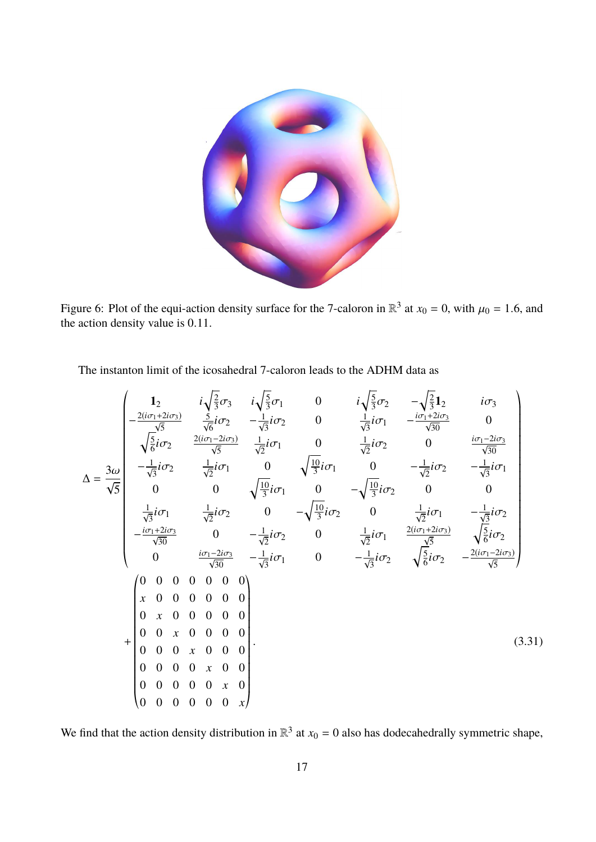

Figure 6: Plot of the equi-action density surface for the 7-caloron in  $\mathbb{R}^3$  at  $x_0 = 0$ , with  $\mu_0 = 1.6$ , and the action density value is 0.11 the action density value is <sup>0</sup>.11.

<span id="page-17-0"></span>The instanton limit of the icosahedral 7-caloron leads to the ADHM data as

$$
\Delta = \frac{3\omega}{\sqrt{5}} \begin{pmatrix} 1_2 & i\sqrt{\frac{2}{3}}\sigma_3 & i\sqrt{\frac{5}{3}}\sigma_1 & 0 & i\sqrt{\frac{5}{3}}\sigma_2 & -\sqrt{\frac{2}{3}}1_2 & i\sigma_3 \\ -\frac{2(i\sigma_1+2i\sigma_3)}{\sqrt{5}} & \frac{5}{\sqrt{6}}i\sigma_2 & -\frac{1}{\sqrt{3}}i\sigma_2 & 0 & \frac{1}{\sqrt{3}}i\sigma_1 & -\frac{i\sigma_1+2i\sigma_3}{\sqrt{30}} & 0 \\ \sqrt{\frac{5}{6}}i\sigma_2 & \frac{2(i\sigma_1-2i\sigma_3)}{\sqrt{5}} & \frac{1}{\sqrt{2}}i\sigma_1 & 0 & \frac{1}{\sqrt{2}}i\sigma_2 & 0 & \frac{i\sigma_1-2i\sigma_3}{\sqrt{30}} \\ -\frac{1}{\sqrt{3}}i\sigma_2 & \frac{1}{\sqrt{2}}i\sigma_1 & 0 & \sqrt{\frac{10}{3}}i\sigma_1 & 0 & -\sqrt{\frac{10}{3}}i\sigma_2 & 0 & 0 \\ \frac{1}{\sqrt{3}}i\sigma_1 & \frac{1}{\sqrt{2}}i\sigma_2 & 0 & -\sqrt{\frac{10}{3}}i\sigma_2 & 0 & \frac{1}{\sqrt{2}}i\sigma_1 & -\frac{1}{\sqrt{3}}i\sigma_2 \\ -\frac{i\sigma_1+2i\sigma_3}{\sqrt{30}} & 0 & -\frac{1}{\sqrt{2}}i\sigma_2 & 0 & \frac{1}{\sqrt{2}}i\sigma_1 & \frac{2(i\sigma_1+2i\sigma_3)}{\sqrt{5}} & \sqrt{\frac{5}{6}}i\sigma_2 \\ 0 & \frac{i\sigma_1-2i\sigma_3}{\sqrt{30}} & -\frac{1}{\sqrt{3}}i\sigma_1 & 0 & -\frac{1}{\sqrt{3}}i\sigma_2 & \sqrt{\frac{5}{6}}i\sigma_2 & -\frac{2(i\sigma_1-2i\sigma_3)}{\sqrt{5}} \end{pmatrix}
$$
\n
$$
+ \begin{pmatrix} 0 & 0 & 0 & 0 & 0 & 0 \\ 0 & 0 & 0 & 0 & 0 & 0 \\ 0 & 0 & 0 & 0 & 0 & 0 \\ 0 & 0 & 0 & 0 & 0 & 0 \\ 0 & 0 &
$$

We find that the action density distribution in  $\mathbb{R}^3$  at  $x_0 = 0$  also has dodecahedrally symmetric shape,

 $\ddot{\phantom{0}}$ 

«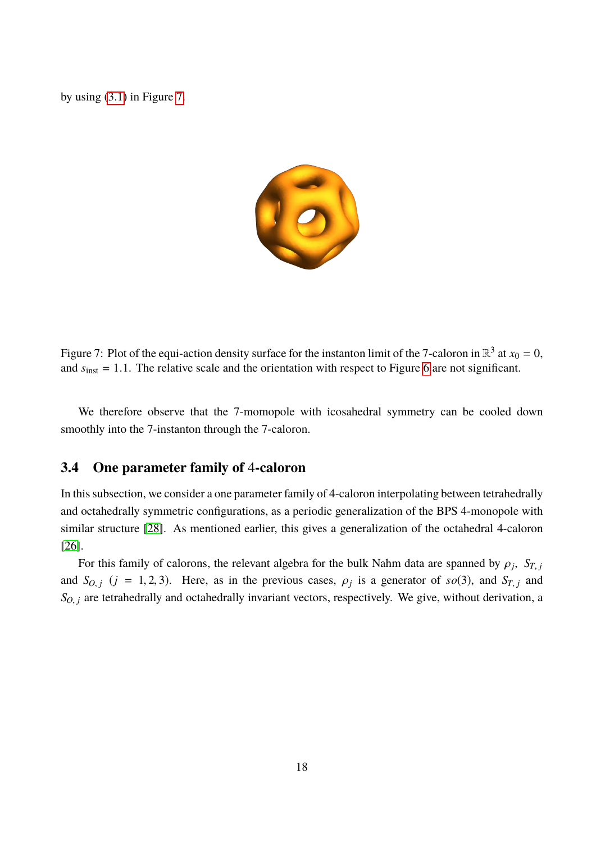by using [\(3.1\)](#page-6-0) in Figure [7.](#page-18-0)



<span id="page-18-0"></span>Figure 7: Plot of the equi-action density surface for the instanton limit of the 7-caloron in  $\mathbb{R}^3$  at  $x_0 = 0$ , and  $s<sub>inst</sub> = 1.1$ . The relative scale and the orientation with respect to Figure [6](#page-17-0) are not significant.

We therefore observe that the 7-momopole with icosahedral symmetry can be cooled down smoothly into the 7-instanton through the 7-caloron.

### <span id="page-18-1"></span>**3.4 One parameter family of** 4**-caloron**

In this subsection, we consider a one parameter family of 4-caloron interpolating between tetrahedrally and octahedrally symmetric configurations, as a periodic generalization of the BPS 4-monopole with similar structure [\[28\]](#page-33-6). As mentioned earlier, this gives a generalization of the octahedral 4-caloron [\[26\]](#page-33-4).

For this family of calorons, the relevant algebra for the bulk Nahm data are spanned by  $\rho_j$ ,  $S_{T,j}$ and *S*<sub>*O*</sub>, *j* (*j* = 1, 2, 3). Here, as in the previous cases,  $\rho_j$  is a generator of *so*(3), and *S<sub><i>T*</sub>, *j* and  $S_{O, j}$  are tetrahedrally and octahedrally invariant vectors, respectively. We give, without derivation, a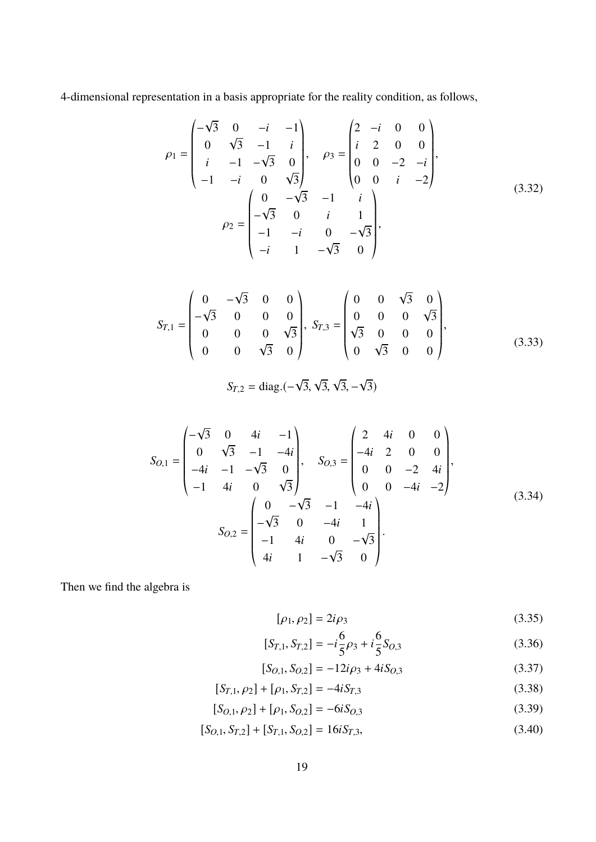4-dimensional representation in a basis appropriate for the reality condition, as follows,

$$
\rho_1 = \begin{pmatrix}\n-\sqrt{3} & 0 & -i & -1 \\
0 & \sqrt{3} & -1 & i \\
i & -1 & -\sqrt{3} & 0 \\
-1 & -i & 0 & \sqrt{3}\n\end{pmatrix}, \quad \rho_3 = \begin{pmatrix}\n2 & -i & 0 & 0 \\
i & 2 & 0 & 0 \\
0 & 0 & -2 & -i \\
0 & 0 & i & -2\n\end{pmatrix},
$$
\n
$$
\rho_2 = \begin{pmatrix}\n0 & -\sqrt{3} & -1 & i \\
-\sqrt{3} & 0 & i & 1 \\
-1 & -i & 0 & -\sqrt{3} \\
-i & 1 & -\sqrt{3} & 0\n\end{pmatrix},
$$
\n(3.32)

$$
S_{T,1} = \begin{pmatrix} 0 & -\sqrt{3} & 0 & 0 \\ -\sqrt{3} & 0 & 0 & 0 \\ 0 & 0 & 0 & \sqrt{3} \\ 0 & 0 & \sqrt{3} & 0 \end{pmatrix}, S_{T,3} = \begin{pmatrix} 0 & 0 & \sqrt{3} & 0 \\ 0 & 0 & 0 & \sqrt{3} \\ \sqrt{3} & 0 & 0 & 0 \\ 0 & \sqrt{3} & 0 & 0 \end{pmatrix},
$$
(3.33)

$$
S_{T,2} = \text{diag.}(-\sqrt{3}, \sqrt{3}, \sqrt{3}, -\sqrt{3})
$$

$$
S_{O,1} = \begin{pmatrix} -\sqrt{3} & 0 & 4i & -1 \\ 0 & \sqrt{3} & -1 & -4i \\ -4i & -1 & -\sqrt{3} & 0 \\ -1 & 4i & 0 & \sqrt{3} \end{pmatrix}, \quad S_{O,3} = \begin{pmatrix} 2 & 4i & 0 & 0 \\ -4i & 2 & 0 & 0 \\ 0 & 0 & -2 & 4i \\ 0 & 0 & -4i & -2 \end{pmatrix},
$$
  
\n
$$
S_{O,2} = \begin{pmatrix} 0 & -\sqrt{3} & -1 & -4i \\ -\sqrt{3} & 0 & -4i & 1 \\ -1 & 4i & 0 & -\sqrt{3} \\ 4i & 1 & -\sqrt{3} & 0 \end{pmatrix}.
$$
 (3.34)

Then we find the algebra is

$$
[\rho_1, \rho_2] = 2i\rho_3 \tag{3.35}
$$

$$
[S_{T,1}, S_{T,2}] = -i\frac{6}{5}\rho_3 + i\frac{6}{5}S_{O,3}
$$
 (3.36)

$$
[S_{O,1}, S_{O,2}] = -12i\rho_3 + 4iS_{O,3}
$$
 (3.37)

$$
[S_{T,1}, \rho_2] + [\rho_1, S_{T,2}] = -4iS_{T,3}
$$
\n(3.38)

$$
[S_{O,1}, \rho_2] + [\rho_1, S_{O,2}] = -6iS_{O,3}
$$
\n(3.39)

$$
[S_{O,1}, S_{T,2}] + [S_{T,1}, S_{O,2}] = 16iS_{T,3},
$$
\n(3.40)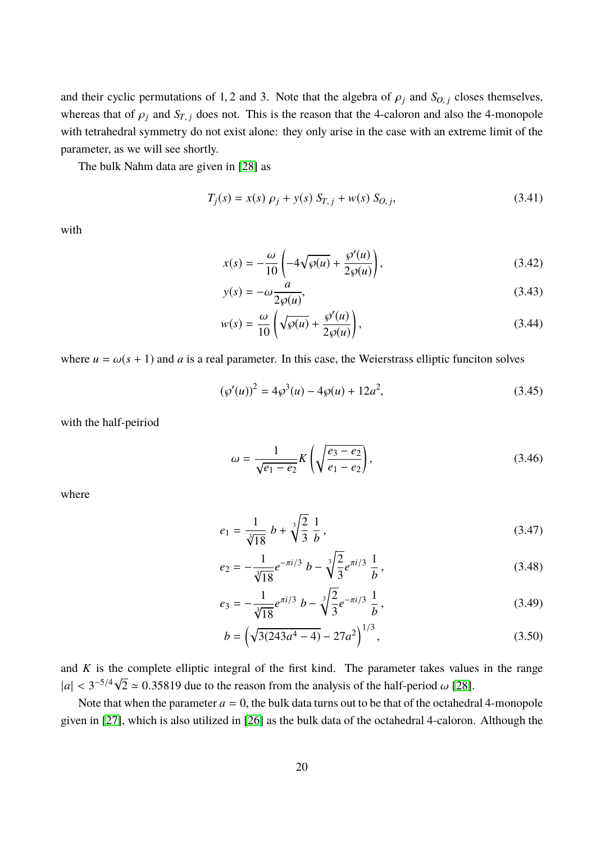and their cyclic permutations of 1, 2 and 3. Note that the algebra of  $\rho_j$  and  $S_{O,j}$  closes themselves, whereas that of  $\rho_j$  and  $S_{T,j}$  does not. This is the reason that the 4-caloron and also the 4-monopole with tetrahedral symmetry do not exist alone: they only arise in the case with an extreme limit of the parameter, as we will see shortly.

The bulk Nahm data are given in [\[28\]](#page-33-6) as

$$
T_j(s) = x(s) \rho_j + y(s) S_{T,j} + w(s) S_{O,j}, \qquad (3.41)
$$

with

<span id="page-20-0"></span>
$$
x(s) = -\frac{\omega}{10} \left( -4\sqrt{\wp(u)} + \frac{\wp'(u)}{2\wp(u)} \right),\tag{3.42}
$$

<span id="page-20-3"></span><span id="page-20-2"></span><span id="page-20-1"></span>
$$
y(s) = -\omega \frac{a}{2\wp(u)},
$$
\n(3.43)

$$
w(s) = \frac{\omega}{10} \left( \sqrt{\wp(u)} + \frac{\wp'(u)}{2\wp(u)} \right),\tag{3.44}
$$

where  $u = \omega(s + 1)$  and *a* is a real parameter. In this case, the Weierstrass elliptic funciton solves

$$
(\wp'(u))^2 = 4\wp^3(u) - 4\wp(u) + 12a^2,
$$
\n(3.45)

with the half-peiriod

<span id="page-20-4"></span>
$$
\omega = \frac{1}{\sqrt{e_1 - e_2}} K \left( \sqrt{\frac{e_3 - e_2}{e_1 - e_2}} \right),\tag{3.46}
$$

where

$$
e_1 = \frac{1}{\sqrt[3]{18}} b + \sqrt[3]{\frac{2}{3}} \frac{1}{b},\tag{3.47}
$$

$$
e_2 = -\frac{1}{\sqrt[3]{18}}e^{-\pi i/3} b - \sqrt[3]{\frac{2}{3}}e^{\pi i/3} \frac{1}{b},
$$
\n(3.48)

$$
e_3 = -\frac{1}{\sqrt[3]{18}} e^{\pi i/3} b - \sqrt[3]{\frac{2}{3}} e^{-\pi i/3} \frac{1}{b},
$$
\n(3.49)

<span id="page-20-5"></span>
$$
b = \left(\sqrt{3(243a^4 - 4)} - 27a^2\right)^{1/3},\tag{3.50}
$$

and *K* is the complete elliptic integral of the first kind. The parameter takes values in the range  $|a| < 3^{-5/4}\sqrt{2} \approx 0.35819$  due to the reason from the analysis of the half-period  $\omega$  [\[28\]](#page-33-6).

Note that when the parameter  $a = 0$ , the bulk data turns out to be that of the octahedral 4-monopole given in [\[27\]](#page-33-5), which is also utilized in [\[26\]](#page-33-4) as the bulk data of the octahedral 4-caloron. Although the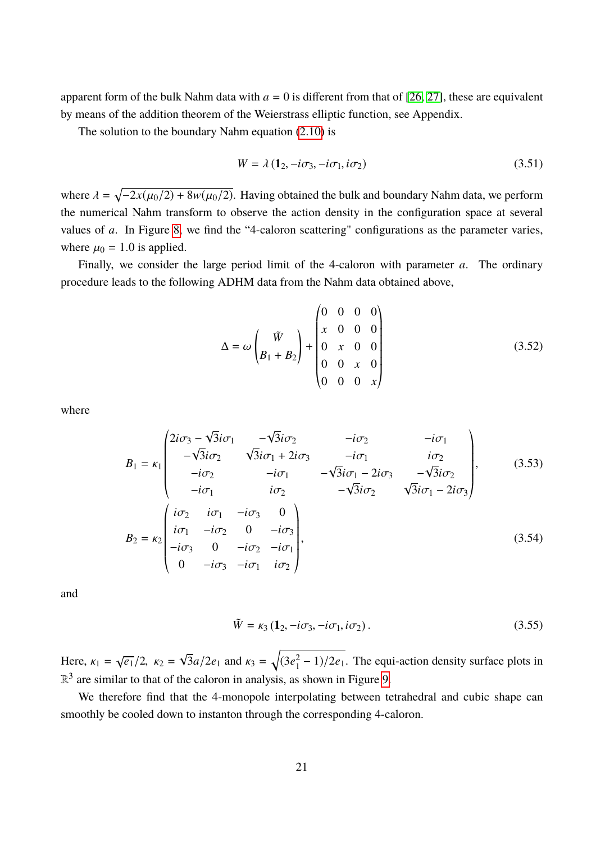apparent form of the bulk Nahm data with  $a = 0$  is different from that of [\[26,](#page-33-4) [27\]](#page-33-5), these are equivalent by means of the addition theorem of the Weierstrass elliptic function, see Appendix.

The solution to the boundary Nahm equation [\(2.10\)](#page-5-1) is

$$
W = \lambda \left( \mathbf{1}_2, -i\sigma_3, -i\sigma_1, i\sigma_2 \right) \tag{3.51}
$$

where  $\lambda = \sqrt{-2x(\mu_0/2) + 8w(\mu_0/2)}$ . Having obtained the bulk and boundary Nahm data, we perform the numerical Nahm transform to observe the action density in the configuration space at several values of *a*. In Figure [8,](#page-22-0) we find the "4-caloron scattering" configurations as the parameter varies, where  $\mu_0 = 1.0$  is applied.

Finally, we consider the large period limit of the 4-caloron with parameter *a*. The ordinary procedure leads to the following ADHM data from the Nahm data obtained above,

$$
\Delta = \omega \begin{pmatrix} \tilde{W} \\ B_1 + B_2 \end{pmatrix} + \begin{pmatrix} 0 & 0 & 0 & 0 \\ x & 0 & 0 & 0 \\ 0 & x & 0 & 0 \\ 0 & 0 & x & 0 \\ 0 & 0 & 0 & x \end{pmatrix}
$$
(3.52)

where

$$
B_1 = \kappa_1 \begin{pmatrix} 2i\sigma_3 - \sqrt{3}i\sigma_1 & -\sqrt{3}i\sigma_2 & -i\sigma_2 & -i\sigma_1 \\ -\sqrt{3}i\sigma_2 & \sqrt{3}i\sigma_1 + 2i\sigma_3 & -i\sigma_1 & i\sigma_2 \\ -i\sigma_2 & -i\sigma_1 & -\sqrt{3}i\sigma_1 - 2i\sigma_3 & -\sqrt{3}i\sigma_2 \\ -i\sigma_1 & i\sigma_2 & -\sqrt{3}i\sigma_2 & \sqrt{3}i\sigma_1 - 2i\sigma_3 \end{pmatrix},
$$
(3.53)  
\n
$$
B_2 = \kappa_2 \begin{pmatrix} i\sigma_2 & i\sigma_1 & -i\sigma_3 & 0 \\ i\sigma_1 & -i\sigma_2 & 0 & -i\sigma_3 \\ -i\sigma_3 & 0 & -i\sigma_2 & -i\sigma_1 \\ 0 & -i\sigma_3 & -i\sigma_1 & i\sigma_2 \end{pmatrix},
$$
(3.54)

and

$$
\tilde{W} = \kappa_3 \left( \mathbf{1}_2, -i\sigma_3, -i\sigma_1, i\sigma_2 \right). \tag{3.55}
$$

Here,  $\kappa_1 =$  $\sqrt{e_1}/2$ ,  $\kappa_2 =$ √  $\sqrt{3a/2e_1}$  and  $\kappa_3 = \sqrt{(3e_1^2)}$  $\binom{2}{1} - 1/2e_1$ . The equi-action density surface plots in  $\mathbb{R}^3$  are similar to that of the caloron in analysis, as shown in Figure [9.](#page-23-0)

We therefore find that the 4-monopole interpolating between tetrahedral and cubic shape can smoothly be cooled down to instanton through the corresponding 4-caloron.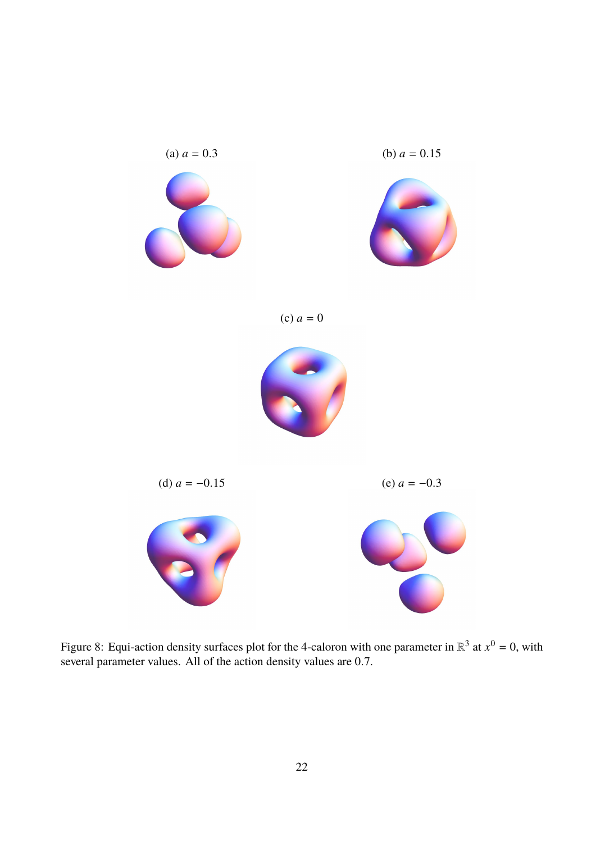

<span id="page-22-0"></span>Figure 8: Equi-action density surfaces plot for the 4-caloron with one parameter in  $\mathbb{R}^3$  at  $x^0 = 0$ , with several parameter values. All of the action density values are <sup>0</sup>.7.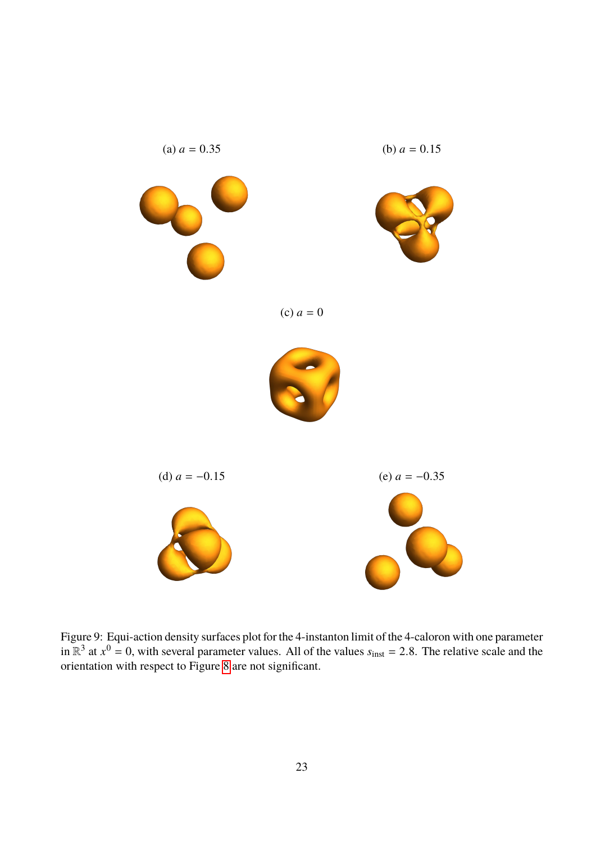

<span id="page-23-0"></span>Figure 9: Equi-action density surfaces plot for the 4-instanton limit of the 4-caloron with one parameter in  $\mathbb{R}^3$  at  $x^0 = 0$ , with several parameter values. All of the values  $s_{\text{inst}} = 2.8$ . The relative scale and the orientation with respect to Figure [8](#page-22-0) are not significant.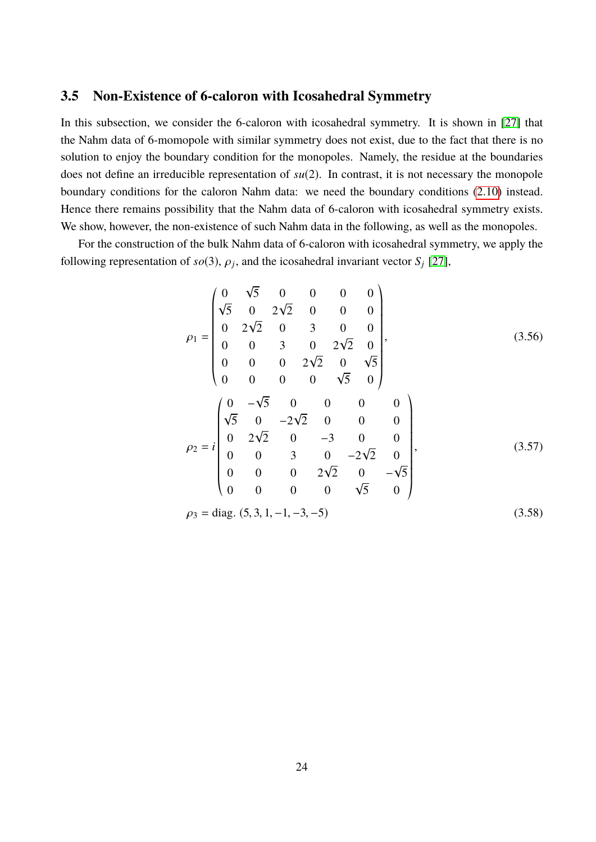### **3.5 Non-Existence of 6-caloron with Icosahedral Symmetry**

In this subsection, we consider the 6-caloron with icosahedral symmetry. It is shown in [\[27\]](#page-33-5) that the Nahm data of 6-momopole with similar symmetry does not exist, due to the fact that there is no solution to enjoy the boundary condition for the monopoles. Namely, the residue at the boundaries does not define an irreducible representation of *su*(2). In contrast, it is not necessary the monopole boundary conditions for the caloron Nahm data: we need the boundary conditions [\(2.10\)](#page-5-1) instead. Hence there remains possibility that the Nahm data of 6-caloron with icosahedral symmetry exists. We show, however, the non-existence of such Nahm data in the following, as well as the monopoles.

For the construction of the bulk Nahm data of 6-caloron with icosahedral symmetry, we apply the following representation of *so*(3),  $\rho_j$ , and the icosahedral invariant vector *S<sub>j</sub>* [\[27\]](#page-33-5),

$$
\rho_1 = \begin{pmatrix}\n0 & \sqrt{5} & 0 & 0 & 0 & 0 \\
\sqrt{5} & 0 & 2\sqrt{2} & 0 & 0 & 0 \\
0 & 2\sqrt{2} & 0 & 3 & 0 & 0 \\
0 & 0 & 3 & 0 & 2\sqrt{2} & 0 \\
0 & 0 & 0 & 2\sqrt{2} & 0 & \sqrt{5} \\
0 & 0 & 0 & 0 & \sqrt{5} & 0\n\end{pmatrix},
$$
\n(3.56)  
\n
$$
\rho_2 = i \begin{pmatrix}\n0 & -\sqrt{5} & 0 & 0 & 0 & 0 \\
\sqrt{5} & 0 & -2\sqrt{2} & 0 & 0 & 0 \\
0 & 2\sqrt{2} & 0 & -3 & 0 & 0 \\
0 & 0 & 3 & 0 & -2\sqrt{2} & 0 \\
0 & 0 & 0 & 2\sqrt{2} & 0 & -\sqrt{5} \\
0 & 0 & 0 & 0 & \sqrt{5} & 0\n\end{pmatrix},
$$
\n(3.57)  
\n
$$
\rho_3 = \text{diag. (5, 3, 1, -1, -3, -5)}
$$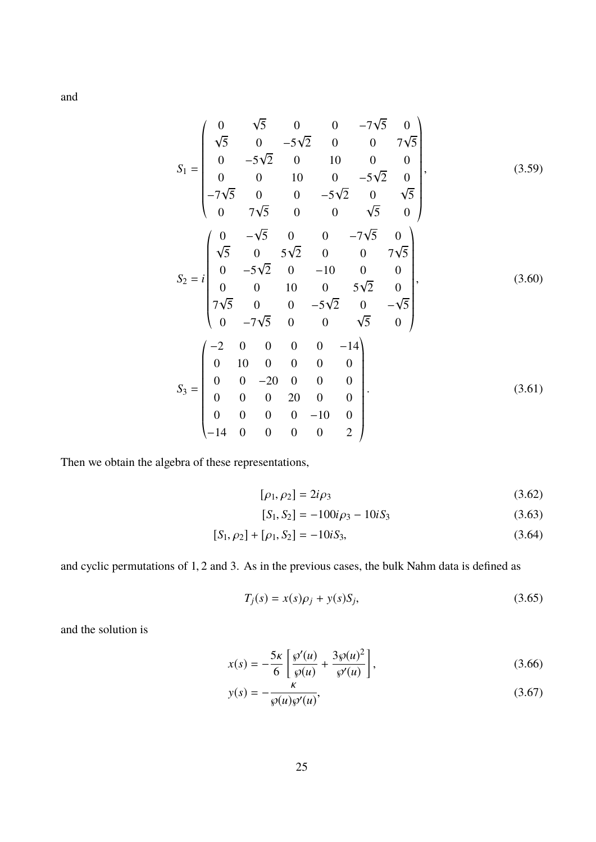and

$$
S_{1} = \begin{pmatrix}\n0 & \sqrt{5} & 0 & 0 & -7\sqrt{5} & 0 \\
\sqrt{5} & 0 & -5\sqrt{2} & 0 & 0 & 7\sqrt{5} \\
0 & -5\sqrt{2} & 0 & 10 & 0 & 0 \\
0 & 0 & 10 & 0 & -5\sqrt{2} & 0 \\
-7\sqrt{5} & 0 & 0 & -5\sqrt{2} & 0 & \sqrt{5} \\
0 & 7\sqrt{5} & 0 & 0 & \sqrt{5} & 0\n\end{pmatrix}, \qquad (3.59)
$$
\n
$$
S_{2} = i \begin{pmatrix}\n0 & -\sqrt{5} & 0 & 0 & -7\sqrt{5} & 0 \\
\sqrt{5} & 0 & 5\sqrt{2} & 0 & 0 & 7\sqrt{5} \\
0 & -5\sqrt{2} & 0 & -10 & 0 & 0 \\
0 & 0 & 10 & 0 & 5\sqrt{2} & 0 \\
7\sqrt{5} & 0 & 0 & -5\sqrt{2} & 0 & -\sqrt{5} \\
0 & -7\sqrt{5} & 0 & 0 & \sqrt{5} & 0\n\end{pmatrix}, \qquad (3.60)
$$
\n
$$
S_{3} = \begin{pmatrix}\n-2 & 0 & 0 & 0 & 0 & -14 \\
0 & 10 & 0 & 0 & 0 & 0 \\
0 & 0 & -20 & 0 & 0 & 0 \\
0 & 0 & 0 & 20 & 0 & 0 \\
0 & 0 & 0 & 0 & -10 & 0 \\
-14 & 0 & 0 & 0 & 0 & 2\n\end{pmatrix} . \qquad (3.61)
$$

Then we obtain the algebra of these representations,

$$
[\rho_1, \rho_2] = 2i\rho_3 \tag{3.62}
$$

$$
[S_1, S_2] = -100i\rho_3 - 10iS_3 \tag{3.63}
$$

$$
[S_1, \rho_2] + [\rho_1, S_2] = -10iS_3,
$$
\n(3.64)

and cyclic permutations of <sup>1</sup>, <sup>2</sup> and 3. As in the previous cases, the bulk Nahm data is defined as

<span id="page-25-1"></span><span id="page-25-0"></span>
$$
T_j(s) = x(s)\rho_j + y(s)S_j,
$$
\n(3.65)

and the solution is

$$
x(s) = -\frac{5\kappa}{6} \left[ \frac{\wp'(u)}{\wp(u)} + \frac{3\wp(u)^2}{\wp'(u)} \right],
$$
\n(3.66)

$$
y(s) = -\frac{\kappa}{\wp(u)\wp'(u)},\tag{3.67}
$$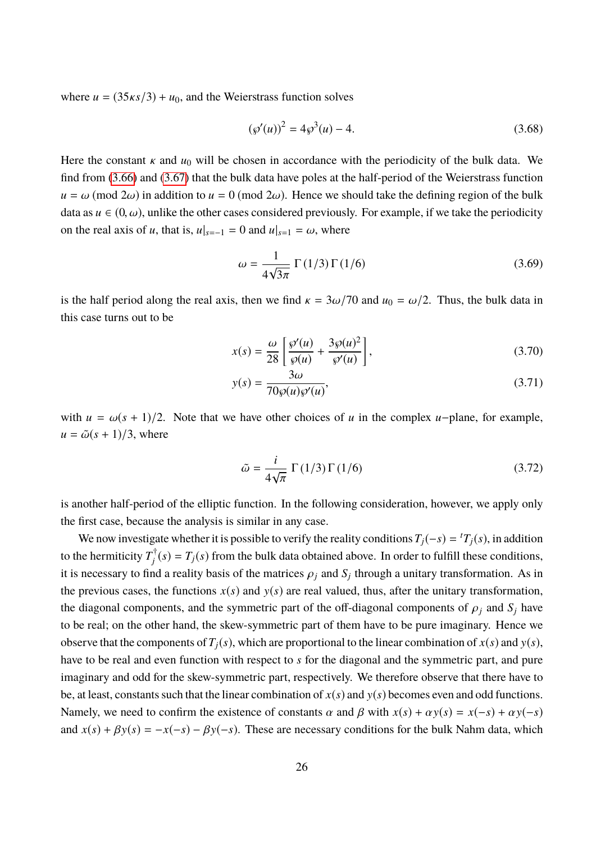where  $u = (35\kappa s/3) + u_0$ , and the Weierstrass function solves

$$
(\wp'(u))^2 = 4\wp^3(u) - 4. \tag{3.68}
$$

Here the constant  $\kappa$  and  $u_0$  will be chosen in accordance with the periodicity of the bulk data. We find from [\(3.66\)](#page-25-0) and [\(3.67\)](#page-25-1) that the bulk data have poles at the half-period of the Weierstrass function  $u = \omega \pmod{2\omega}$  in addition to  $u = 0 \pmod{2\omega}$ . Hence we should take the defining region of the bulk data as  $u \in (0, \omega)$ , unlike the other cases considered previously. For example, if we take the periodicity on the real axis of *u*, that is,  $u|_{s=-1} = 0$  and  $u|_{s=1} = \omega$ , where

$$
\omega = \frac{1}{4\sqrt{3\pi}} \Gamma(1/3) \Gamma(1/6)
$$
\n(3.69)

is the half period along the real axis, then we find  $\kappa = 3\omega/70$  and  $u_0 = \omega/2$ . Thus, the bulk data in this case turns out to be

<span id="page-26-0"></span>
$$
x(s) = \frac{\omega}{28} \left[ \frac{\wp'(u)}{\wp(u)} + \frac{3\wp(u)^2}{\wp'(u)} \right],
$$
\n(3.70)

<span id="page-26-1"></span>
$$
y(s) = \frac{3\omega}{70\wp(u)\wp'(u)},
$$
\n(3.71)

with  $u = \omega(s + 1)/2$ . Note that we have other choices of *u* in the complex *u*-plane, for example,  $u = \tilde{\omega}(s + 1)/3$ , where

$$
\tilde{\omega} = \frac{i}{4\sqrt{\pi}} \Gamma(1/3) \Gamma(1/6)
$$
\n(3.72)

is another half-period of the elliptic function. In the following consideration, however, we apply only the first case, because the analysis is similar in any case.

We now investigate whether it is possible to verify the reality conditions  $T_j(-s) = {}^t T_j(s)$ , in addition to the hermiticity  $T_i^{\dagger}$  $f_j^{\dagger}(s) = T_j(s)$  from the bulk data obtained above. In order to fulfill these conditions, it is necessary to find a reality basis of the matrices  $\rho_j$  and  $S_j$  through a unitary transformation. As in the previous cases, the functions  $x(s)$  and  $y(s)$  are real valued, thus, after the unitary transformation, the diagonal components, and the symmetric part of the off-diagonal components of  $\rho_i$  and  $S_j$  have to be real; on the other hand, the skew-symmetric part of them have to be pure imaginary. Hence we observe that the components of  $T_i(s)$ , which are proportional to the linear combination of  $x(s)$  and  $y(s)$ , have to be real and even function with respect to *s* for the diagonal and the symmetric part, and pure imaginary and odd for the skew-symmetric part, respectively. We therefore observe that there have to be, at least, constants such that the linear combination of  $x(s)$  and  $y(s)$  becomes even and odd functions. Namely, we need to confirm the existence of constants  $\alpha$  and  $\beta$  with  $x(s) + \alpha y(s) = x(-s) + \alpha y(-s)$ and  $x(s) + \beta y(s) = -x(-s) - \beta y(-s)$ . These are necessary conditions for the bulk Nahm data, which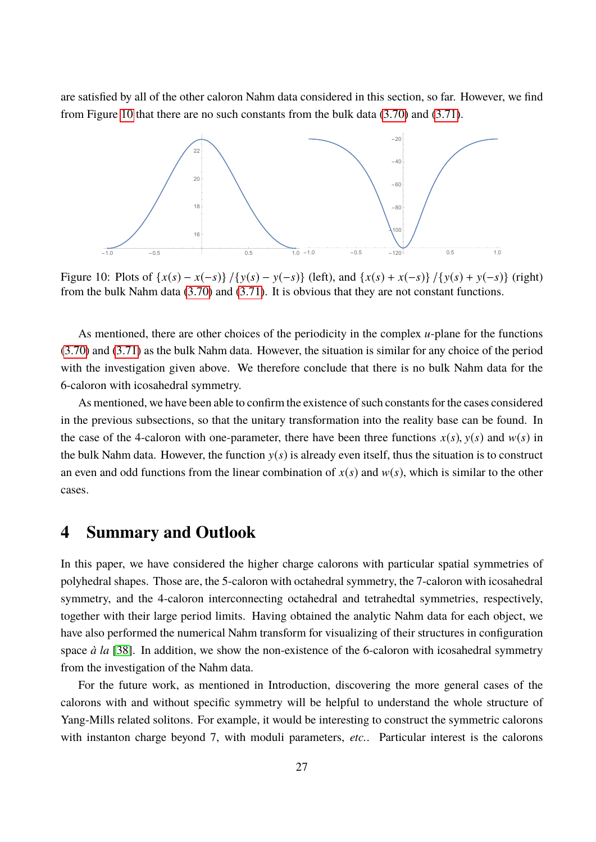are satisfied by all of the other caloron Nahm data considered in this section, so far. However, we find from Figure [10](#page-27-0) that there are no such constants from the bulk data [\(3.70\)](#page-26-0) and [\(3.71\)](#page-26-1).



<span id="page-27-0"></span>Figure 10: Plots of  $\{x(s) - x(-s)\} / \{y(s) - y(-s)\}$  (left), and  $\{x(s) + x(-s)\} / \{y(s) + y(-s)\}$  (right) from the bulk Nahm data [\(3.70\)](#page-26-0) and [\(3.71\)](#page-26-1). It is obvious that they are not constant functions.

As mentioned, there are other choices of the periodicity in the complex *u*-plane for the functions [\(3.70\)](#page-26-0) and [\(3.71\)](#page-26-1) as the bulk Nahm data. However, the situation is similar for any choice of the period with the investigation given above. We therefore conclude that there is no bulk Nahm data for the 6-caloron with icosahedral symmetry.

As mentioned, we have been able to confirm the existence of such constants for the cases considered in the previous subsections, so that the unitary transformation into the reality base can be found. In the case of the 4-caloron with one-parameter, there have been three functions  $x(s)$ ,  $y(s)$  and  $w(s)$  in the bulk Nahm data. However, the function  $y(s)$  is already even itself, thus the situation is to construct an even and odd functions from the linear combination of  $x(s)$  and  $w(s)$ , which is similar to the other cases.

### **4 Summary and Outlook**

In this paper, we have considered the higher charge calorons with particular spatial symmetries of polyhedral shapes. Those are, the 5-caloron with octahedral symmetry, the 7-caloron with icosahedral symmetry, and the 4-caloron interconnecting octahedral and tetrahedtal symmetries, respectively, together with their large period limits. Having obtained the analytic Nahm data for each object, we have also performed the numerical Nahm transform for visualizing of their structures in configuration space *à la* [\[38\]](#page-33-16). In addition, we show the non-existence of the 6-caloron with icosahedral symmetry from the investigation of the Nahm data.

For the future work, as mentioned in Introduction, discovering the more general cases of the calorons with and without specific symmetry will be helpful to understand the whole structure of Yang-Mills related solitons. For example, it would be interesting to construct the symmetric calorons with instanton charge beyond 7, with moduli parameters, *etc.*. Particular interest is the calorons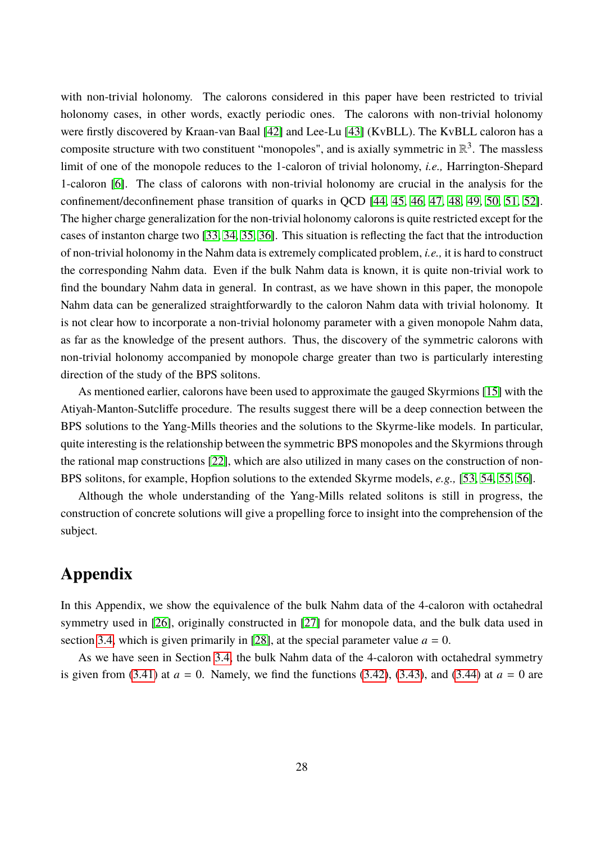with non-trivial holonomy. The calorons considered in this paper have been restricted to trivial holonomy cases, in other words, exactly periodic ones. The calorons with non-trivial holonomy were firstly discovered by Kraan-van Baal [\[42\]](#page-33-20) and Lee-Lu [\[43\]](#page-33-21) (KvBLL). The KvBLL caloron has a composite structure with two constituent "monopoles", and is axially symmetric in  $\mathbb{R}^3$ . The massless limit of one of the monopole reduces to the 1-caloron of trivial holonomy, *i.e.,* Harrington-Shepard 1-caloron [\[6\]](#page-32-5). The class of calorons with non-trivial holonomy are crucial in the analysis for the confinement/deconfinement phase transition of quarks in QCD [\[44,](#page-33-22) [45,](#page-33-23) [46,](#page-34-0) [47,](#page-34-1) [48,](#page-34-2) [49,](#page-34-3) [50,](#page-34-4) [51,](#page-34-5) [52\]](#page-34-6). The higher charge generalization for the non-trivial holonomy calorons is quite restricted except for the cases of instanton charge two [\[33,](#page-33-13) [34,](#page-33-11) [35,](#page-33-12) [36\]](#page-33-14). This situation is reflecting the fact that the introduction of non-trivial holonomy in the Nahm data is extremely complicated problem, *i.e.,* it is hard to construct the corresponding Nahm data. Even if the bulk Nahm data is known, it is quite non-trivial work to find the boundary Nahm data in general. In contrast, as we have shown in this paper, the monopole Nahm data can be generalized straightforwardly to the caloron Nahm data with trivial holonomy. It is not clear how to incorporate a non-trivial holonomy parameter with a given monopole Nahm data, as far as the knowledge of the present authors. Thus, the discovery of the symmetric calorons with non-trivial holonomy accompanied by monopole charge greater than two is particularly interesting direction of the study of the BPS solitons.

As mentioned earlier, calorons have been used to approximate the gauged Skyrmions [\[15\]](#page-32-14) with the Atiyah-Manton-Sutcliffe procedure. The results suggest there will be a deep connection between the BPS solutions to the Yang-Mills theories and the solutions to the Skyrme-like models. In particular, quite interesting is the relationship between the symmetric BPS monopoles and the Skyrmions through the rational map constructions [\[22\]](#page-33-0), which are also utilized in many cases on the construction of non-BPS solitons, for example, Hopfion solutions to the extended Skyrme models, *e.g.,* [\[53,](#page-34-7) [54,](#page-34-8) [55,](#page-34-9) [56\]](#page-34-10).

Although the whole understanding of the Yang-Mills related solitons is still in progress, the construction of concrete solutions will give a propelling force to insight into the comprehension of the subject.

## **Appendix**

In this Appendix, we show the equivalence of the bulk Nahm data of the 4-caloron with octahedral symmetry used in [\[26\]](#page-33-4), originally constructed in [\[27\]](#page-33-5) for monopole data, and the bulk data used in section [3.4,](#page-18-1) which is given primarily in [\[28\]](#page-33-6), at the special parameter value  $a = 0$ .

As we have seen in Section [3.4,](#page-18-1) the bulk Nahm data of the 4-caloron with octahedral symmetry is given from [\(3.41\)](#page-20-0) at  $a = 0$ . Namely, we find the functions [\(3.42\)](#page-20-1), [\(3.43\)](#page-20-2), and [\(3.44\)](#page-20-3) at  $a = 0$  are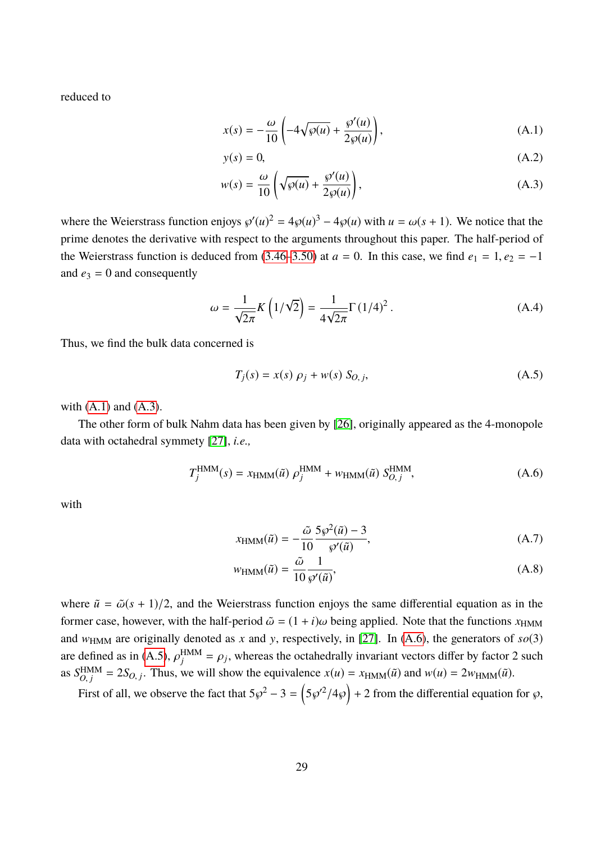reduced to

$$
x(s) = -\frac{\omega}{10} \left( -4\sqrt{\wp(u)} + \frac{\wp'(u)}{2\wp(u)} \right),\tag{A.1}
$$

<span id="page-29-1"></span><span id="page-29-0"></span>
$$
y(s) = 0,\tag{A.2}
$$

$$
w(s) = \frac{\omega}{10} \left( \sqrt{\wp(u)} + \frac{\wp'(u)}{2\wp(u)} \right),
$$
 (A.3)

where the Weierstrass function enjoys  $\wp'(u)^2 = 4\wp(u)^3 - 4\wp(u)$  with  $u = \omega(s + 1)$ . We notice that the prime denotes the derivative with respect to the arguments throughout this paper. The half-period of the Weierstrass function is deduced from [\(3.46–](#page-20-4)[3.50\)](#page-20-5) at  $a = 0$ . In this case, we find  $e_1 = 1, e_2 = -1$ and  $e_3 = 0$  and consequently

$$
\omega = \frac{1}{\sqrt{2\pi}} K\left(1/\sqrt{2}\right) = \frac{1}{4\sqrt{2\pi}} \Gamma\left(1/4\right)^2. \tag{A.4}
$$

Thus, we find the bulk data concerned is

<span id="page-29-3"></span>
$$
T_j(s) = x(s) \rho_j + w(s) S_{O, j}, \qquad (A.5)
$$

with  $(A.1)$  and  $(A.3)$ .

The other form of bulk Nahm data has been given by [\[26\]](#page-33-4), originally appeared as the 4-monopole data with octahedral symmety [\[27\]](#page-33-5), *i.e.,*

$$
T_j^{\text{HMM}}(s) = x_{\text{HMM}}(\tilde{u}) \rho_j^{\text{HMM}} + w_{\text{HMM}}(\tilde{u}) S_{O,j}^{\text{HMM}}, \tag{A.6}
$$

with

<span id="page-29-2"></span>
$$
x_{\text{HMM}}(\tilde{u}) = -\frac{\tilde{\omega}}{10} \frac{5\wp^2(\tilde{u}) - 3}{\wp'(\tilde{u})},\tag{A.7}
$$

$$
w_{\text{HMM}}(\tilde{u}) = \frac{\tilde{\omega}}{10} \frac{1}{\wp'(\tilde{u})},\tag{A.8}
$$

where  $\tilde{u} = \tilde{\omega}(s + 1)/2$ , and the Weierstrass function enjoys the same differential equation as in the former case, however, with the half-period  $\tilde{\omega} = (1 + i)\omega$  being applied. Note that the functions  $x_{HMM}$ and  $w_{\text{HMM}}$  are originally denoted as *x* and *y*, respectively, in [\[27\]](#page-33-5). In [\(A.6\)](#page-29-2), the generators of  $so(3)$ are defined as in [\(A.5\)](#page-29-3),  $\rho_j^{\text{HMM}}$  $\hat{\theta}^{\text{HMM}} = \rho_j$ , whereas the octahedrally invariant vectors differ by factor 2 such  $\hat{\theta}^{\text{HMM}}$ as  $S_{O}^{\text{HMM}}$  $\chi_{O,j}^{\text{HMM}} = 2S_{O,j}$ . Thus, we will show the equivalence  $x(u) = x_{\text{HMM}}(\tilde{u})$  and  $w(u) = 2w_{\text{HMM}}(\tilde{u})$ .

First of all, we observe the fact that  $5\wp^2 - 3 = (5\wp'^2/4\wp) + 2$  from the differential equation for  $\wp$ ,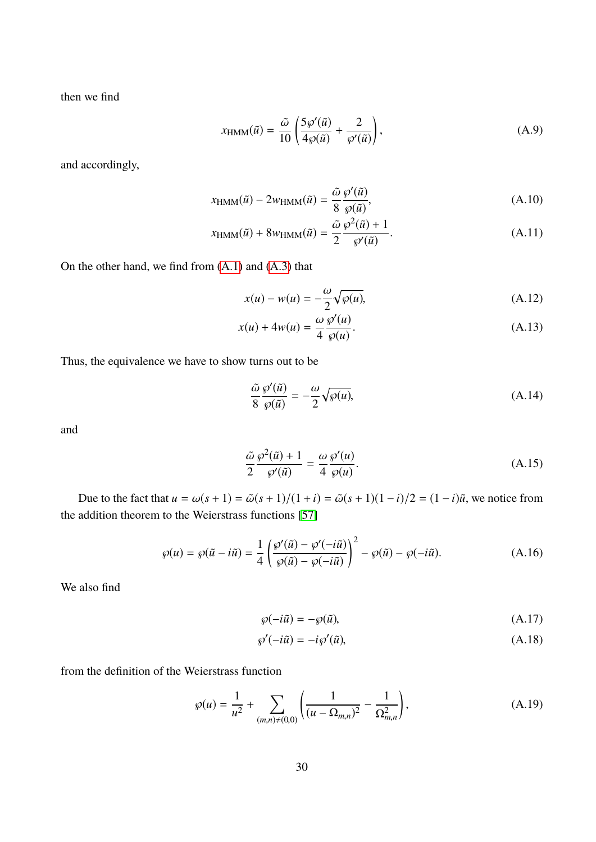then we find

$$
x_{\text{HMM}}(\tilde{u}) = \frac{\tilde{\omega}}{10} \left( \frac{5\wp'(\tilde{u})}{4\wp(\tilde{u})} + \frac{2}{\wp'(\tilde{u})} \right),\tag{A.9}
$$

and accordingly,

$$
x_{\text{HMM}}(\tilde{u}) - 2w_{\text{HMM}}(\tilde{u}) = \frac{\tilde{\omega}}{8} \frac{\wp'(\tilde{u})}{\wp(\tilde{u})},\tag{A.10}
$$

$$
x_{\text{HMM}}(\tilde{u}) + 8w_{\text{HMM}}(\tilde{u}) = \frac{\tilde{\omega}}{2} \frac{\wp^2(\tilde{u}) + 1}{\wp'(\tilde{u})}.
$$
 (A.11)

On the other hand, we find from [\(A.1\)](#page-29-0) and [\(A.3\)](#page-29-1) that

$$
x(u) - w(u) = -\frac{\omega}{2} \sqrt{\wp(u)},
$$
\n(A.12)

$$
x(u) + 4w(u) = \frac{\omega}{4} \frac{\wp'(u)}{\wp(u)}.
$$
 (A.13)

Thus, the equivalence we have to show turns out to be

<span id="page-30-3"></span>
$$
\frac{\tilde{\omega}}{8} \frac{\varphi'(\tilde{u})}{\varphi(\tilde{u})} = -\frac{\omega}{2} \sqrt{\varphi(u)},
$$
\n(A.14)

and

<span id="page-30-4"></span>
$$
\frac{\tilde{\omega}}{2} \frac{\wp^2(\tilde{u}) + 1}{\wp'(\tilde{u})} = \frac{\omega}{4} \frac{\wp'(u)}{\wp(u)}.
$$
\n(A.15)

Due to the fact that  $u = \omega(s + 1) = \tilde{\omega}(s + 1)/(1 + i) = \tilde{\omega}(s + 1)(1 - i)/2 = (1 - i)\tilde{u}$ , we notice from the addition theorem to the Weierstrass functions [\[57\]](#page-34-11)

$$
\wp(u) = \wp(\tilde{u} - i\tilde{u}) = \frac{1}{4} \left( \frac{\wp'(\tilde{u}) - \wp'(-i\tilde{u})}{\wp(\tilde{u}) - \wp(-i\tilde{u})} \right)^2 - \wp(\tilde{u}) - \wp(-i\tilde{u}).
$$
\n(A.16)

We also find

<span id="page-30-2"></span><span id="page-30-1"></span><span id="page-30-0"></span>
$$
\wp(-i\tilde{u}) = -\wp(\tilde{u}),\tag{A.17}
$$

$$
\wp'(-i\tilde{u}) = -i\wp'(\tilde{u}),\tag{A.18}
$$

from the definition of the Weierstrass function

$$
\wp(u) = \frac{1}{u^2} + \sum_{(m,n)\neq(0,0)} \left( \frac{1}{(u - \Omega_{m,n})^2} - \frac{1}{\Omega_{m,n}^2} \right),\tag{A.19}
$$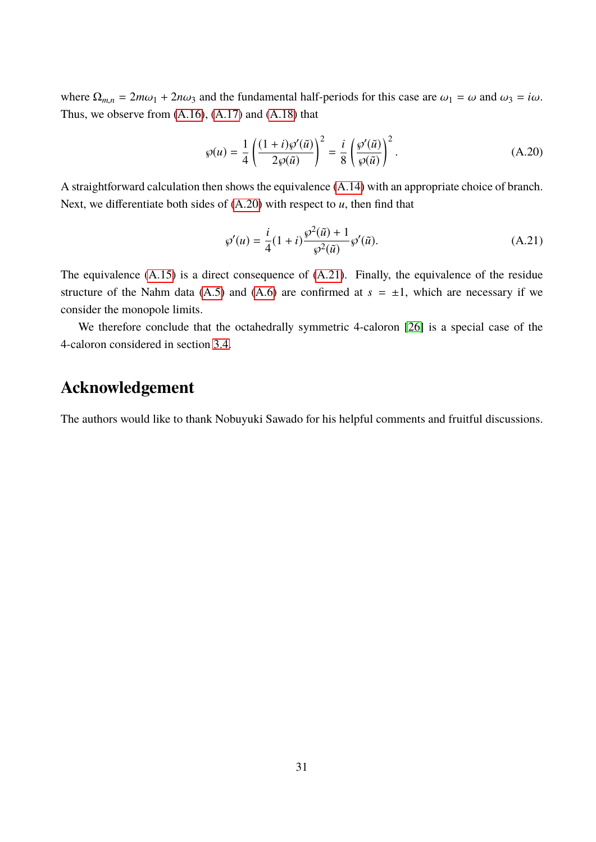where  $\Omega_{m,n} = 2m\omega_1 + 2n\omega_3$  and the fundamental half-periods for this case are  $\omega_1 = \omega$  and  $\omega_3 = i\omega$ . Thus, we observe from  $(A.16)$ ,  $(A.17)$  and  $(A.18)$  that

$$
\wp(u) = \frac{1}{4} \left( \frac{(1+i)\wp'(\tilde{u})}{2\wp(\tilde{u})} \right)^2 = \frac{i}{8} \left( \frac{\wp'(\tilde{u})}{\wp(\tilde{u})} \right)^2.
$$
 (A.20)

A straightforward calculation then shows the equivalence [\(A.14\)](#page-30-3) with an appropriate choice of branch. Next, we differentiate both sides of [\(A.20\)](#page-31-0) with respect to *u*, then find that

<span id="page-31-1"></span><span id="page-31-0"></span>
$$
\wp'(u) = \frac{i}{4}(1+i)\frac{\wp^2(\tilde{u}) + 1}{\wp^2(\tilde{u})}\wp'(\tilde{u}).
$$
\n(A.21)

The equivalence [\(A.15\)](#page-30-4) is a direct consequence of [\(A.21\)](#page-31-1). Finally, the equivalence of the residue structure of the Nahm data [\(A.5\)](#page-29-3) and [\(A.6\)](#page-29-2) are confirmed at  $s = \pm 1$ , which are necessary if we consider the monopole limits.

We therefore conclude that the octahedrally symmetric 4-caloron [\[26\]](#page-33-4) is a special case of the 4-caloron considered in section [3.4.](#page-18-1)

## **Acknowledgement**

The authors would like to thank Nobuyuki Sawado for his helpful comments and fruitful discussions.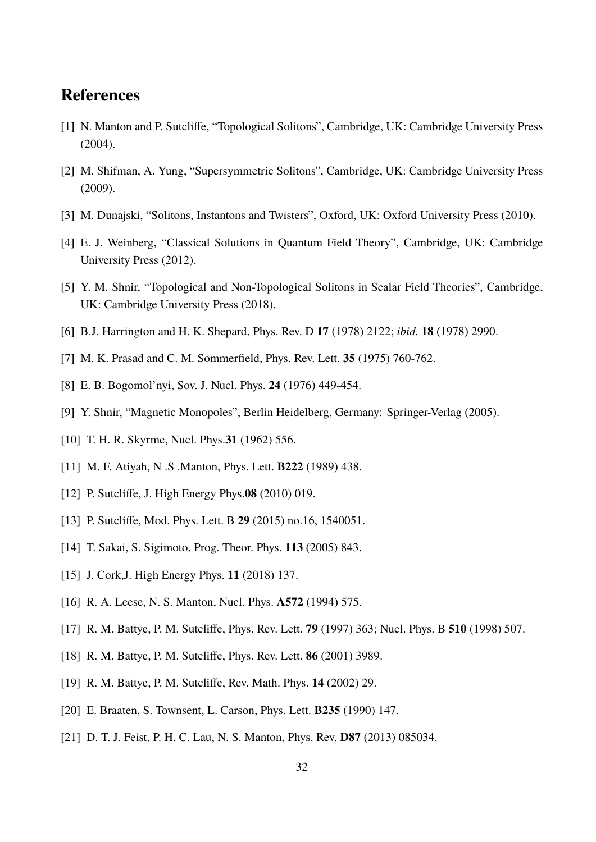## **References**

- <span id="page-32-0"></span>[1] N. Manton and P. Sutcliffe, "Topological Solitons", Cambridge, UK: Cambridge University Press (2004).
- <span id="page-32-1"></span>[2] M. Shifman, A. Yung, "Supersymmetric Solitons", Cambridge, UK: Cambridge University Press (2009).
- <span id="page-32-2"></span>[3] M. Dunajski, "Solitons, Instantons and Twisters", Oxford, UK: Oxford University Press (2010).
- <span id="page-32-3"></span>[4] E. J. Weinberg, "Classical Solutions in Quantum Field Theory", Cambridge, UK: Cambridge University Press (2012).
- <span id="page-32-4"></span>[5] Y. M. Shnir, "Topological and Non-Topological Solitons in Scalar Field Theories", Cambridge, UK: Cambridge University Press (2018).
- <span id="page-32-5"></span>[6] B.J. Harrington and H. K. Shepard, Phys. Rev. D **17** (1978) 2122; *ibid.* **18** (1978) 2990.
- <span id="page-32-6"></span>[7] M. K. Prasad and C. M. Sommerfield, Phys. Rev. Lett. **35** (1975) 760-762.
- <span id="page-32-7"></span>[8] E. B. Bogomol'nyi, Sov. J. Nucl. Phys. **24** (1976) 449-454.
- <span id="page-32-8"></span>[9] Y. Shnir, "Magnetic Monopoles", Berlin Heidelberg, Germany: Springer-Verlag (2005).
- <span id="page-32-9"></span>[10] T. H. R. Skyrme, Nucl. Phys.**31** (1962) 556.
- <span id="page-32-10"></span>[11] M. F. Atiyah, N .S .Manton, Phys. Lett. **B222** (1989) 438.
- <span id="page-32-11"></span>[12] P. Sutcliffe, J. High Energy Phys.**08** (2010) 019.
- <span id="page-32-12"></span>[13] P. Sutcliffe, Mod. Phys. Lett. B **29** (2015) no.16, 1540051.
- <span id="page-32-13"></span>[14] T. Sakai, S. Sigimoto, Prog. Theor. Phys. **113** (2005) 843.
- <span id="page-32-14"></span>[15] J. Cork,J. High Energy Phys. **11** (2018) 137.
- <span id="page-32-15"></span>[16] R. A. Leese, N. S. Manton, Nucl. Phys. **A572** (1994) 575.
- <span id="page-32-16"></span>[17] R. M. Battye, P. M. Sutcliffe, Phys. Rev. Lett. **79** (1997) 363; Nucl. Phys. B **510** (1998) 507.
- <span id="page-32-17"></span>[18] R. M. Battye, P. M. Sutcliffe, Phys. Rev. Lett. **86** (2001) 3989.
- <span id="page-32-18"></span>[19] R. M. Battye, P. M. Sutcliffe, Rev. Math. Phys. **14** (2002) 29.
- <span id="page-32-19"></span>[20] E. Braaten, S. Townsent, L. Carson, Phys. Lett. **B235** (1990) 147.
- <span id="page-32-20"></span>[21] D. T. J. Feist, P. H. C. Lau, N. S. Manton, Phys. Rev. **D87** (2013) 085034.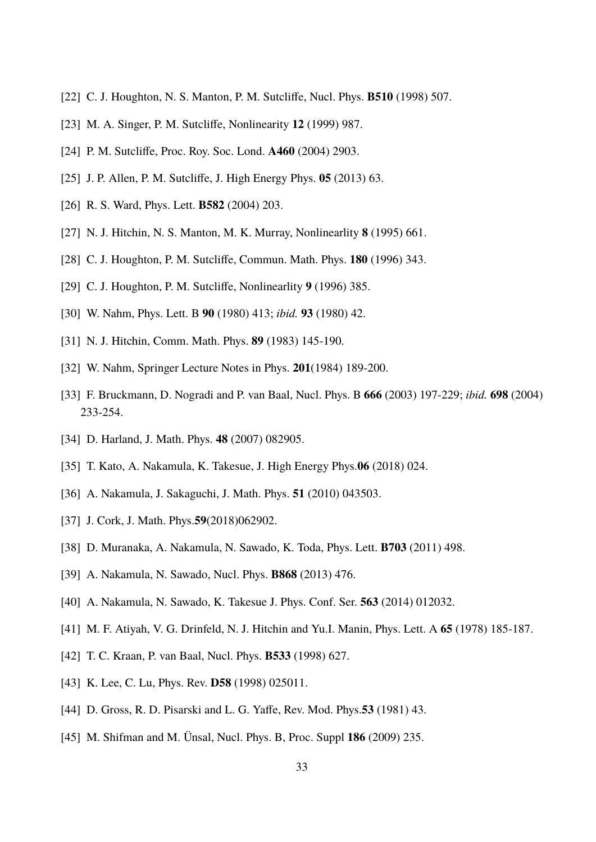- <span id="page-33-0"></span>[22] C. J. Houghton, N. S. Manton, P. M. Sutcliffe, Nucl. Phys. **B510** (1998) 507.
- <span id="page-33-1"></span>[23] M. A. Singer, P. M. Sutcliffe, Nonlinearity **12** (1999) 987.
- <span id="page-33-2"></span>[24] P. M. Sutcliffe, Proc. Roy. Soc. Lond. **A460** (2004) 2903.
- <span id="page-33-3"></span>[25] J. P. Allen, P. M. Sutcliffe, J. High Energy Phys. **05** (2013) 63.
- <span id="page-33-4"></span>[26] R. S. Ward, Phys. Lett. **B582** (2004) 203.
- <span id="page-33-5"></span>[27] N. J. Hitchin, N. S. Manton, M. K. Murray, Nonlinearlity **8** (1995) 661.
- <span id="page-33-6"></span>[28] C. J. Houghton, P. M. Sutcliffe, Commun. Math. Phys. **180** (1996) 343.
- <span id="page-33-7"></span>[29] C. J. Houghton, P. M. Sutcliffe, Nonlinearlity **9** (1996) 385.
- <span id="page-33-8"></span>[30] W. Nahm, Phys. Lett. B **90** (1980) 413; *ibid.* **93** (1980) 42.
- <span id="page-33-9"></span>[31] N. J. Hitchin, Comm. Math. Phys. **89** (1983) 145-190.
- <span id="page-33-10"></span>[32] W. Nahm, Springer Lecture Notes in Phys. **201**(1984) 189-200.
- <span id="page-33-13"></span>[33] F. Bruckmann, D. Nogradi and P. van Baal, Nucl. Phys. B **666** (2003) 197-229; *ibid.* **698** (2004) 233-254.
- <span id="page-33-11"></span>[34] D. Harland, J. Math. Phys. **48** (2007) 082905.
- <span id="page-33-12"></span>[35] T. Kato, A. Nakamula, K. Takesue, J. High Energy Phys.**06** (2018) 024.
- <span id="page-33-14"></span>[36] A. Nakamula, J. Sakaguchi, J. Math. Phys. **51** (2010) 043503.
- <span id="page-33-15"></span>[37] J. Cork, J. Math. Phys.**59**(2018)062902.
- <span id="page-33-16"></span>[38] D. Muranaka, A. Nakamula, N. Sawado, K. Toda, Phys. Lett. **B703** (2011) 498.
- <span id="page-33-17"></span>[39] A. Nakamula, N. Sawado, Nucl. Phys. **B868** (2013) 476.
- <span id="page-33-18"></span>[40] A. Nakamula, N. Sawado, K. Takesue J. Phys. Conf. Ser. **563** (2014) 012032.
- <span id="page-33-19"></span>[41] M. F. Atiyah, V. G. Drinfeld, N. J. Hitchin and Yu.I. Manin, Phys. Lett. A **65** (1978) 185-187.
- <span id="page-33-20"></span>[42] T. C. Kraan, P. van Baal, Nucl. Phys. **B533** (1998) 627.
- <span id="page-33-21"></span>[43] K. Lee, C. Lu, Phys. Rev. **D58** (1998) 025011.
- <span id="page-33-22"></span>[44] D. Gross, R. D. Pisarski and L. G. Yaffe, Rev. Mod. Phys.**53** (1981) 43.
- <span id="page-33-23"></span>[45] M. Shifman and M. Ünsal, Nucl. Phys. B, Proc. Suppl **186** (2009) 235.